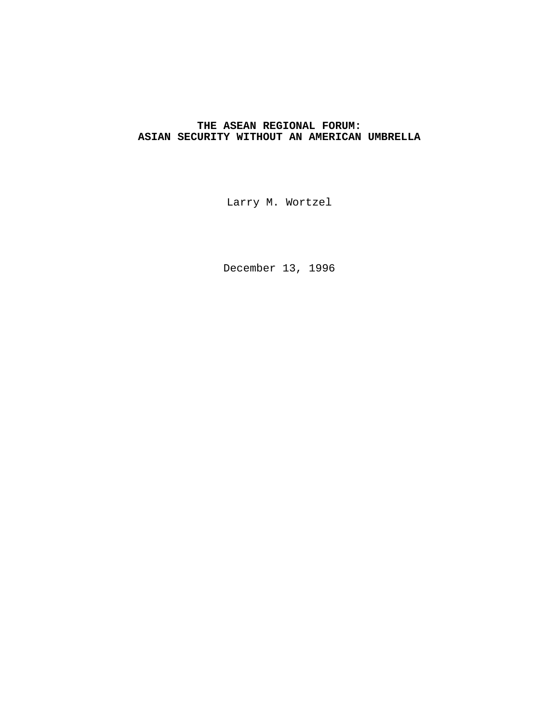# **THE ASEAN REGIONAL FORUM: ASIAN SECURITY WITHOUT AN AMERICAN UMBRELLA**

Larry M. Wortzel

December 13, 1996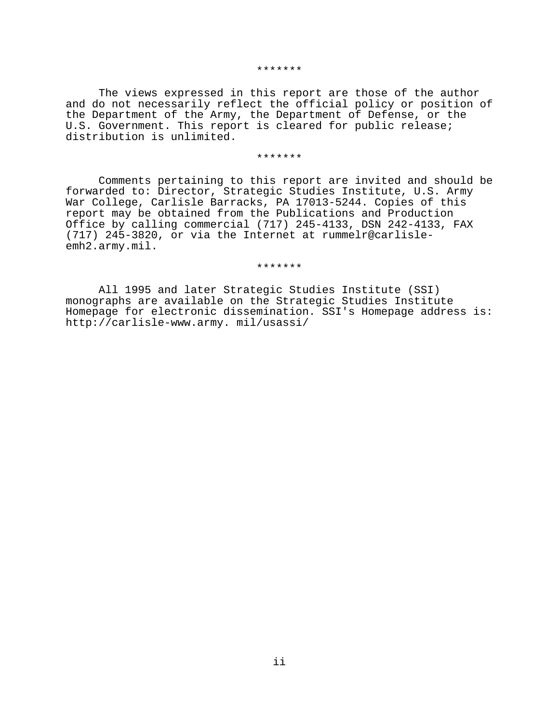#### \*\*\*\*\*\*\*

The views expressed in this report are those of the author and do not necessarily reflect the official policy or position of the Department of the Army, the Department of Defense, or the U.S. Government. This report is cleared for public release; distribution is unlimited.

#### \*\*\*\*\*\*\*

Comments pertaining to this report are invited and should be forwarded to: Director, Strategic Studies Institute, U.S. Army War College, Carlisle Barracks, PA 17013-5244. Copies of this report may be obtained from the Publications and Production Office by calling commercial (717) 245-4133, DSN 242-4133, FAX (717) 245-3820, or via the Internet at rummelr@carlisleemh2.army.mil.

\*\*\*\*\*\*\*

All 1995 and later Strategic Studies Institute (SSI) monographs are available on the Strategic Studies Institute Homepage for electronic dissemination. SSI's Homepage address is: http://carlisle-www.army. mil/usassi/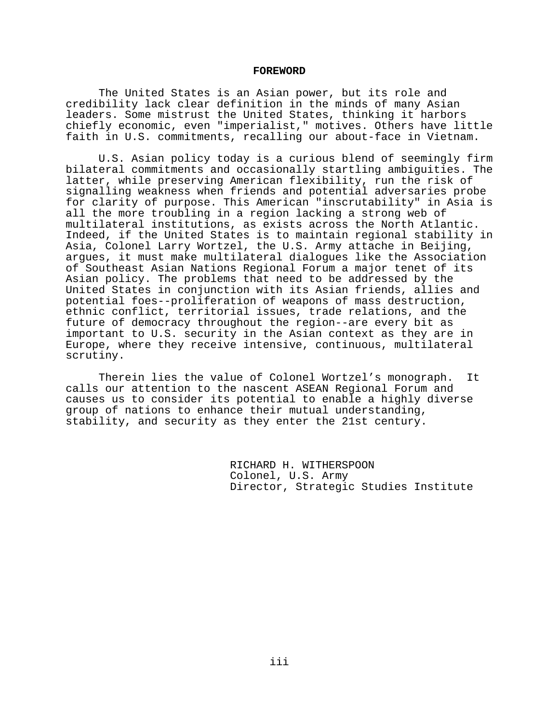#### **FOREWORD**

The United States is an Asian power, but its role and credibility lack clear definition in the minds of many Asian leaders. Some mistrust the United States, thinking it harbors chiefly economic, even "imperialist," motives. Others have little faith in U.S. commitments, recalling our about-face in Vietnam.

U.S. Asian policy today is a curious blend of seemingly firm bilateral commitments and occasionally startling ambiguities. The latter, while preserving American flexibility, run the risk of signalling weakness when friends and potential adversaries probe for clarity of purpose. This American "inscrutability" in Asia is all the more troubling in a region lacking a strong web of multilateral institutions, as exists across the North Atlantic. Indeed, if the United States is to maintain regional stability in Asia, Colonel Larry Wortzel, the U.S. Army attache in Beijing, argues, it must make multilateral dialogues like the Association of Southeast Asian Nations Regional Forum a major tenet of its Asian policy. The problems that need to be addressed by the United States in conjunction with its Asian friends, allies and potential foes--proliferation of weapons of mass destruction, ethnic conflict, territorial issues, trade relations, and the future of democracy throughout the region--are every bit as important to U.S. security in the Asian context as they are in Europe, where they receive intensive, continuous, multilateral scrutiny.

Therein lies the value of Colonel Wortzel's monograph. It calls our attention to the nascent ASEAN Regional Forum and causes us to consider its potential to enable a highly diverse group of nations to enhance their mutual understanding, stability, and security as they enter the 21st century.

> RICHARD H. WITHERSPOON Colonel, U.S. Army Director, Strategic Studies Institute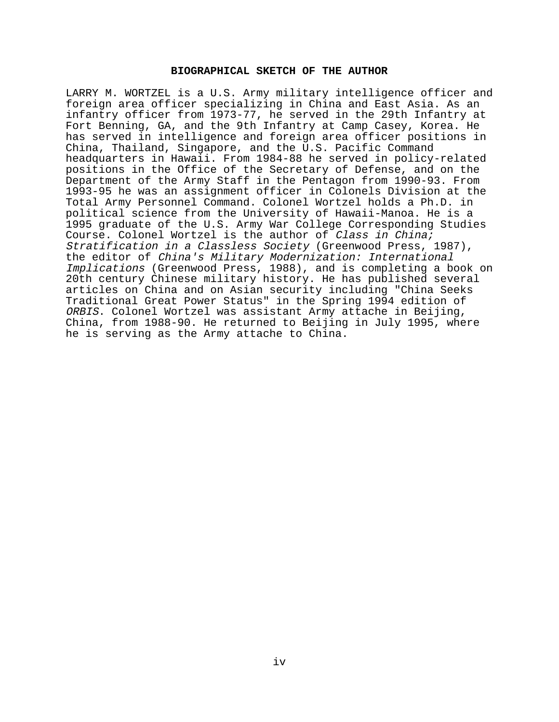### **BIOGRAPHICAL SKETCH OF THE AUTHOR**

LARRY M. WORTZEL is a U.S. Army military intelligence officer and foreign area officer specializing in China and East Asia. As an infantry officer from 1973-77, he served in the 29th Infantry at Fort Benning, GA, and the 9th Infantry at Camp Casey, Korea. He has served in intelligence and foreign area officer positions in China, Thailand, Singapore, and the U.S. Pacific Command headquarters in Hawaii. From 1984-88 he served in policy-related positions in the Office of the Secretary of Defense, and on the Department of the Army Staff in the Pentagon from 1990-93. From 1993-95 he was an assignment officer in Colonels Division at the Total Army Personnel Command. Colonel Wortzel holds a Ph.D. in political science from the University of Hawaii-Manoa. He is a 1995 graduate of the U.S. Army War College Corresponding Studies Course. Colonel Wortzel is the author of Class in China; Stratification in a Classless Society (Greenwood Press, 1987), the editor of China's Military Modernization: International Implications (Greenwood Press, 1988), and is completing a book on 20th century Chinese military history. He has published several articles on China and on Asian security including "China Seeks Traditional Great Power Status" in the Spring 1994 edition of ORBIS. Colonel Wortzel was assistant Army attache in Beijing, China, from 1988-90. He returned to Beijing in July 1995, where he is serving as the Army attache to China.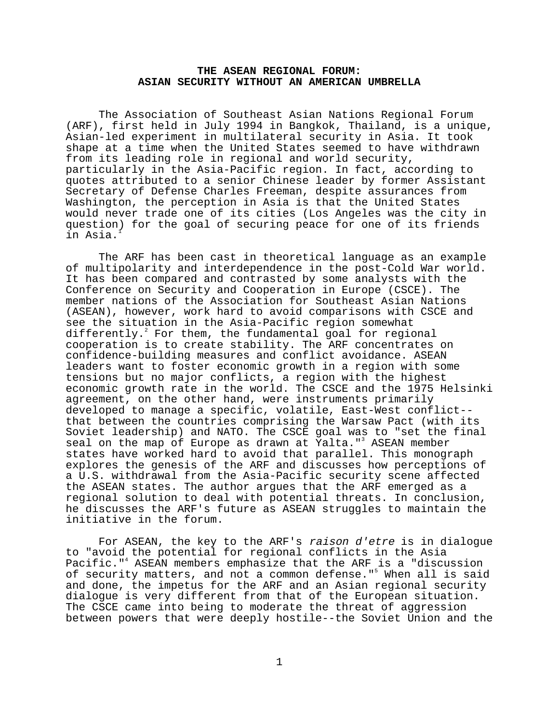# **THE ASEAN REGIONAL FORUM: ASIAN SECURITY WITHOUT AN AMERICAN UMBRELLA**

The Association of Southeast Asian Nations Regional Forum (ARF), first held in July 1994 in Bangkok, Thailand, is a unique, Asian-led experiment in multilateral security in Asia. It took shape at a time when the United States seemed to have withdrawn from its leading role in regional and world security, particularly in the Asia-Pacific region. In fact, according to quotes attributed to a senior Chinese leader by former Assistant Secretary of Defense Charles Freeman, despite assurances from Washington, the perception in Asia is that the United States would never trade one of its cities (Los Angeles was the city in question) for the goal of securing peace for one of its friends in Asia.<sup>1</sup>

The ARF has been cast in theoretical language as an example of multipolarity and interdependence in the post-Cold War world. It has been compared and contrasted by some analysts with the Conference on Security and Cooperation in Europe (CSCE). The member nations of the Association for Southeast Asian Nations (ASEAN), however, work hard to avoid comparisons with CSCE and see the situation in the Asia-Pacific region somewhat differently.<sup>2</sup> For them, the fundamental goal for regional cooperation is to create stability. The ARF concentrates on confidence-building measures and conflict avoidance. ASEAN leaders want to foster economic growth in a region with some tensions but no major conflicts, a region with the highest economic growth rate in the world. The CSCE and the 1975 Helsinki agreement, on the other hand, were instruments primarily developed to manage a specific, volatile, East-West conflict- that between the countries comprising the Warsaw Pact (with its Soviet leadership) and NATO. The CSCE goal was to "set the final seal on the map of Europe as drawn at Yalta."<sup>3</sup> ASEAN member states have worked hard to avoid that parallel. This monograph explores the genesis of the ARF and discusses how perceptions of a U.S. withdrawal from the Asia-Pacific security scene affected the ASEAN states. The author argues that the ARF emerged as a regional solution to deal with potential threats. In conclusion, he discusses the ARF's future as ASEAN struggles to maintain the initiative in the forum.

For ASEAN, the key to the ARF's raison d'etre is in dialogue to "avoid the potential for regional conflicts in the Asia Pacific."<sup>4</sup> ASEAN members emphasize that the ARF is a "discussion of security matters, and not a common defense."<sup>5</sup> When all is said and done, the impetus for the ARF and an Asian regional security dialogue is very different from that of the European situation. The CSCE came into being to moderate the threat of aggression between powers that were deeply hostile--the Soviet Union and the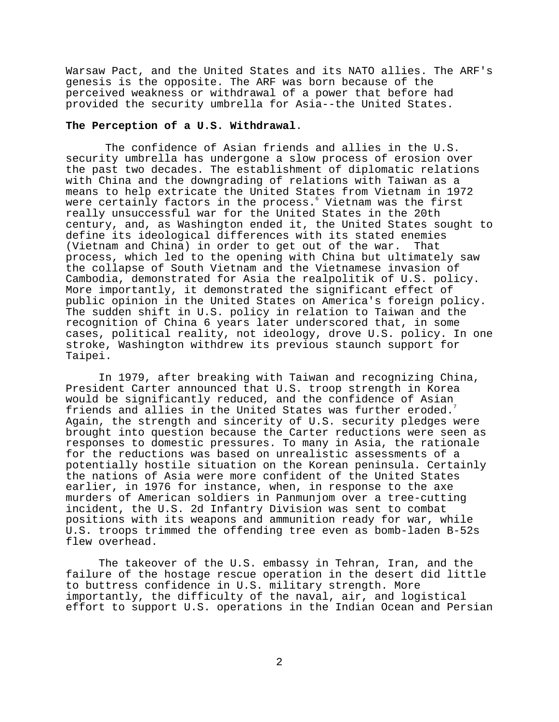Warsaw Pact, and the United States and its NATO allies. The ARF's genesis is the opposite. The ARF was born because of the perceived weakness or withdrawal of a power that before had provided the security umbrella for Asia--the United States.

### **The Perception of a U.S. Withdrawal**.

 The confidence of Asian friends and allies in the U.S. security umbrella has undergone a slow process of erosion over the past two decades. The establishment of diplomatic relations with China and the downgrading of relations with Taiwan as a means to help extricate the United States from Vietnam in 1972 were certainly factors in the process.' Vietnam was the first really unsuccessful war for the United States in the 20th century, and, as Washington ended it, the United States sought to define its ideological differences with its stated enemies (Vietnam and China) in order to get out of the war. That process, which led to the opening with China but ultimately saw the collapse of South Vietnam and the Vietnamese invasion of Cambodia, demonstrated for Asia the realpolitik of U.S. policy. More importantly, it demonstrated the significant effect of public opinion in the United States on America's foreign policy. The sudden shift in U.S. policy in relation to Taiwan and the recognition of China 6 years later underscored that, in some cases, political reality, not ideology, drove U.S. policy. In one stroke, Washington withdrew its previous staunch support for Taipei.

In 1979, after breaking with Taiwan and recognizing China, President Carter announced that U.S. troop strength in Korea would be significantly reduced, and the confidence of Asian friends and allies in the United States was further eroded.<sup>7</sup> Again, the strength and sincerity of U.S. security pledges were brought into question because the Carter reductions were seen as responses to domestic pressures. To many in Asia, the rationale for the reductions was based on unrealistic assessments of a potentially hostile situation on the Korean peninsula. Certainly the nations of Asia were more confident of the United States earlier, in 1976 for instance, when, in response to the axe murders of American soldiers in Panmunjom over a tree-cutting incident, the U.S. 2d Infantry Division was sent to combat positions with its weapons and ammunition ready for war, while U.S. troops trimmed the offending tree even as bomb-laden B-52s flew overhead.

The takeover of the U.S. embassy in Tehran, Iran, and the failure of the hostage rescue operation in the desert did little to buttress confidence in U.S. military strength. More importantly, the difficulty of the naval, air, and logistical effort to support U.S. operations in the Indian Ocean and Persian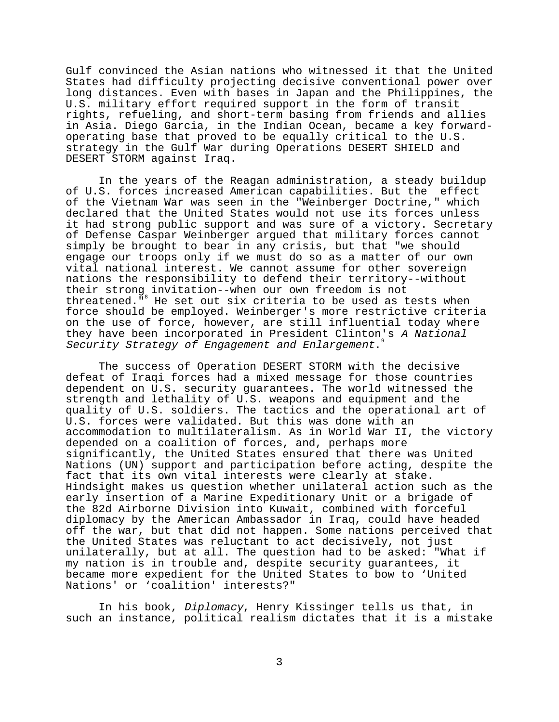Gulf convinced the Asian nations who witnessed it that the United States had difficulty projecting decisive conventional power over long distances. Even with bases in Japan and the Philippines, the U.S. military effort required support in the form of transit rights, refueling, and short-term basing from friends and allies in Asia. Diego Garcia, in the Indian Ocean, became a key forwardoperating base that proved to be equally critical to the U.S. strategy in the Gulf War during Operations DESERT SHIELD and DESERT STORM against Iraq.

In the years of the Reagan administration, a steady buildup of U.S. forces increased American capabilities. But the effect of the Vietnam War was seen in the "Weinberger Doctrine," which declared that the United States would not use its forces unless it had strong public support and was sure of a victory. Secretary of Defense Caspar Weinberger argued that military forces cannot simply be brought to bear in any crisis, but that "we should engage our troops only if we must do so as a matter of our own vital national interest. We cannot assume for other sovereign nations the responsibility to defend their territory--without their strong invitation--when our own freedom is not threatened."<sup>8</sup> He set out six criteria to be used as tests when force should be employed. Weinberger's more restrictive criteria on the use of force, however, are still influential today where they have been incorporated in President Clinton's A National Security Strategy of Engagement and Enlargement.

The success of Operation DESERT STORM with the decisive defeat of Iraqi forces had a mixed message for those countries dependent on U.S. security guarantees. The world witnessed the strength and lethality of U.S. weapons and equipment and the quality of U.S. soldiers. The tactics and the operational art of U.S. forces were validated. But this was done with an accommodation to multilateralism. As in World War II, the victory depended on a coalition of forces, and, perhaps more significantly, the United States ensured that there was United Nations (UN) support and participation before acting, despite the fact that its own vital interests were clearly at stake. Hindsight makes us question whether unilateral action such as the early insertion of a Marine Expeditionary Unit or a brigade of the 82d Airborne Division into Kuwait, combined with forceful diplomacy by the American Ambassador in Iraq, could have headed off the war, but that did not happen. Some nations perceived that the United States was reluctant to act decisively, not just unilaterally, but at all. The question had to be asked: "What if my nation is in trouble and, despite security guarantees, it became more expedient for the United States to bow to 'United Nations' or 'coalition' interests?"

In his book, Diplomacy, Henry Kissinger tells us that, in such an instance, political realism dictates that it is a mistake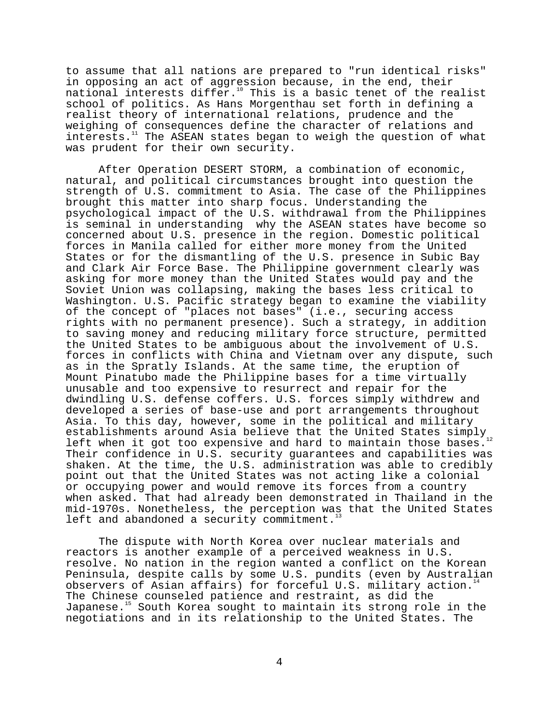to assume that all nations are prepared to "run identical risks" in opposing an act of aggression because, in the end, their national interests differ.<sup>10</sup> This is a basic tenet of the realist school of politics. As Hans Morgenthau set forth in defining a realist theory of international relations, prudence and the weighing of consequences define the character of relations and interests.<sup>11</sup> The ASEAN states began to weigh the question of what was prudent for their own security.

After Operation DESERT STORM, a combination of economic, natural, and political circumstances brought into question the strength of U.S. commitment to Asia. The case of the Philippines brought this matter into sharp focus. Understanding the psychological impact of the U.S. withdrawal from the Philippines is seminal in understanding why the ASEAN states have become so concerned about U.S. presence in the region. Domestic political forces in Manila called for either more money from the United States or for the dismantling of the U.S. presence in Subic Bay and Clark Air Force Base. The Philippine government clearly was asking for more money than the United States would pay and the Soviet Union was collapsing, making the bases less critical to Washington. U.S. Pacific strategy began to examine the viability of the concept of "places not bases" (i.e., securing access rights with no permanent presence). Such a strategy, in addition to saving money and reducing military force structure, permitted the United States to be ambiguous about the involvement of U.S. forces in conflicts with China and Vietnam over any dispute, such as in the Spratly Islands. At the same time, the eruption of Mount Pinatubo made the Philippine bases for a time virtually unusable and too expensive to resurrect and repair for the dwindling U.S. defense coffers. U.S. forces simply withdrew and developed a series of base-use and port arrangements throughout Asia. To this day, however, some in the political and military establishments around Asia believe that the United States simply  $_{12}$ left when it got too expensive and hard to maintain those bases. Their confidence in U.S. security guarantees and capabilities was shaken. At the time, the U.S. administration was able to credibly point out that the United States was not acting like a colonial or occupying power and would remove its forces from a country when asked. That had already been demonstrated in Thailand in the mid-1970s. Nonetheless, the perception was that the United States left and abandoned a security commitment.<sup>1</sup>

The dispute with North Korea over nuclear materials and reactors is another example of a perceived weakness in U.S. resolve. No nation in the region wanted a conflict on the Korean Peninsula, despite calls by some U.S. pundits (even by Australian observers of Asian affairs) for forceful U.S. military action.<sup>1</sup> The Chinese counseled patience and restraint, as did the Japanese.<sup>15</sup> South Korea sought to maintain its strong role in the negotiations and in its relationship to the United States. The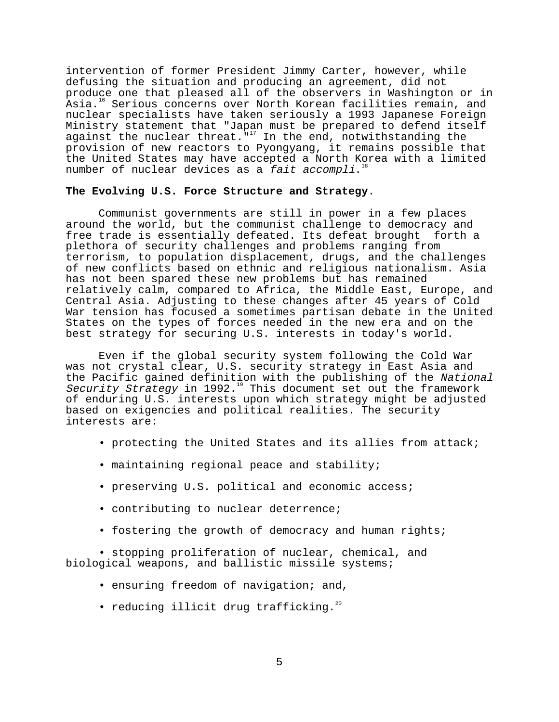intervention of former President Jimmy Carter, however, while defusing the situation and producing an agreement, did not produce one that pleased all of the observers in Washington or in Asia.<sup>16</sup> Serious concerns over North Korean facilities remain, and nuclear specialists have taken seriously a 1993 Japanese Foreign Ministry statement that "Japan must be prepared to defend itself against the nuclear threat. $\overline{N}^{17}$  In the end, notwithstanding the provision of new reactors to Pyongyang, it remains possible that the United States may have accepted a North Korea with a limited number of nuclear devices as a fait accompli.<sup>1</sup>

# **The Evolving U.S. Force Structure and Strategy**.

Communist governments are still in power in a few places around the world, but the communist challenge to democracy and free trade is essentially defeated. Its defeat brought forth a plethora of security challenges and problems ranging from terrorism, to population displacement, drugs, and the challenges of new conflicts based on ethnic and religious nationalism. Asia has not been spared these new problems but has remained relatively calm, compared to Africa, the Middle East, Europe, and Central Asia. Adjusting to these changes after 45 years of Cold War tension has focused a sometimes partisan debate in the United States on the types of forces needed in the new era and on the best strategy for securing U.S. interests in today's world.

Even if the global security system following the Cold War was not crystal clear, U.S. security strategy in East Asia and the Pacific gained definition with the publishing of the National Security Strategy in 1992.<sup>19</sup> This document set out the framework of enduring U.S. interests upon which strategy might be adjusted based on exigencies and political realities. The security interests are:

- protecting the United States and its allies from attack;
- maintaining regional peace and stability;
- preserving U.S. political and economic access;
- contributing to nuclear deterrence;
- fostering the growth of democracy and human rights;

• stopping proliferation of nuclear, chemical, and biological weapons, and ballistic missile systems;

- ensuring freedom of navigation; and,
- reducing illicit drug trafficking.<sup>20</sup>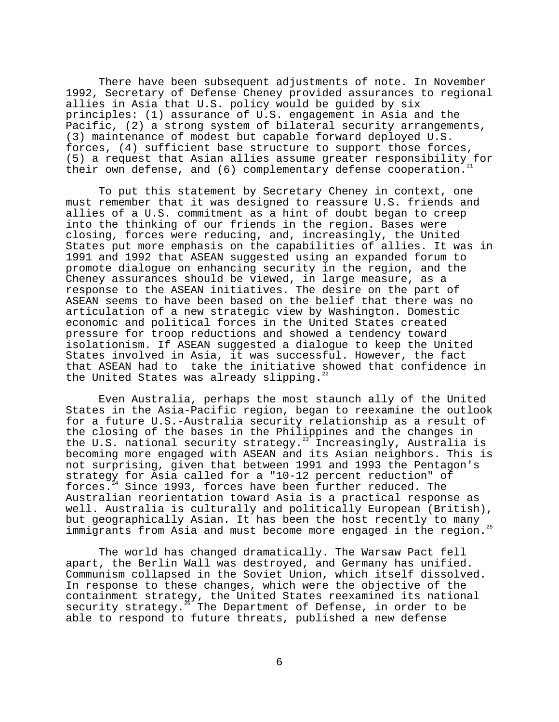There have been subsequent adjustments of note. In November 1992, Secretary of Defense Cheney provided assurances to regional allies in Asia that U.S. policy would be guided by six principles: (1) assurance of U.S. engagement in Asia and the Pacific, (2) a strong system of bilateral security arrangements, (3) maintenance of modest but capable forward deployed U.S. forces, (4) sufficient base structure to support those forces, (5) a request that Asian allies assume greater responsibility for their own defense, and  $(6)$  complementary defense cooperation.

To put this statement by Secretary Cheney in context, one must remember that it was designed to reassure U.S. friends and allies of a U.S. commitment as a hint of doubt began to creep into the thinking of our friends in the region. Bases were closing, forces were reducing, and, increasingly, the United States put more emphasis on the capabilities of allies. It was in 1991 and 1992 that ASEAN suggested using an expanded forum to promote dialogue on enhancing security in the region, and the Cheney assurances should be viewed, in large measure, as a response to the ASEAN initiatives. The desire on the part of ASEAN seems to have been based on the belief that there was no articulation of a new strategic view by Washington. Domestic economic and political forces in the United States created pressure for troop reductions and showed a tendency toward isolationism. If ASEAN suggested a dialogue to keep the United States involved in Asia, it was successful. However, the fact that ASEAN had to take the initiative showed that confidence in the United States was already slipping.<sup>2</sup>

Even Australia, perhaps the most staunch ally of the United States in the Asia-Pacific region, began to reexamine the outlook for a future U.S.-Australia security relationship as a result of the closing of the bases in the Philippines and the changes in the U.S. national security strategy.<sup>23</sup> Increasingly, Australia is becoming more engaged with ASEAN and its Asian neighbors. This is not surprising, given that between 1991 and 1993 the Pentagon's strategy for Asia called for a "10-12 percent reduction" of forces. $24$  Since 1993, forces have been further reduced. The Australian reorientation toward Asia is a practical response as well. Australia is culturally and politically European (British), but geographically Asian. It has been the host recently to many immigrants from Asia and must become more engaged in the region.<sup>25</sup>

The world has changed dramatically. The Warsaw Pact fell apart, the Berlin Wall was destroyed, and Germany has unified. Communism collapsed in the Soviet Union, which itself dissolved. In response to these changes, which were the objective of the containment strategy, the United States reexamined its national security strategy.<sup>26</sup> The Department of Defense, in order to be able to respond to future threats, published a new defense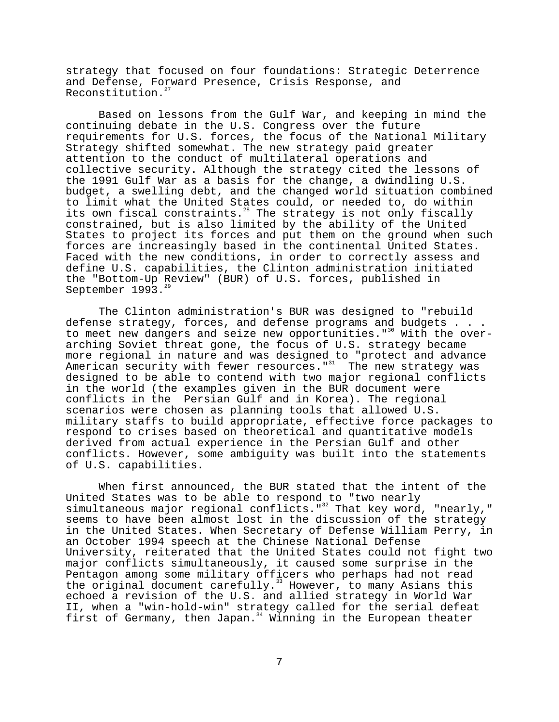strategy that focused on four foundations: Strategic Deterrence and Defense, Forward Presence, Crisis Response, and Reconstitution.<sup>2</sup>

Based on lessons from the Gulf War, and keeping in mind the continuing debate in the U.S. Congress over the future requirements for U.S. forces, the focus of the National Military Strategy shifted somewhat. The new strategy paid greater attention to the conduct of multilateral operations and collective security. Although the strategy cited the lessons of the 1991 Gulf War as a basis for the change, a dwindling U.S. budget, a swelling debt, and the changed world situation combined to limit what the United States could, or needed to, do within its own fiscal constraints.<sup>28</sup> The strategy is not only fiscally constrained, but is also limited by the ability of the United States to project its forces and put them on the ground when such forces are increasingly based in the continental United States. Faced with the new conditions, in order to correctly assess and define U.S. capabilities, the Clinton administration initiated the "Bottom-Up Review" (BUR) of U.S. forces, published in September 1993.

The Clinton administration's BUR was designed to "rebuild defense strategy, forces, and defense programs and budgets . . . to meet new dangers and seize new opportunities."<sup>30</sup> With the overarching Soviet threat gone, the focus of U.S. strategy became more regional in nature and was designed to "protect and advance American security with fewer resources."<sup>31</sup> The new strategy was designed to be able to contend with two major regional conflicts in the world (the examples given in the BUR document were conflicts in the Persian Gulf and in Korea). The regional scenarios were chosen as planning tools that allowed U.S. military staffs to build appropriate, effective force packages to respond to crises based on theoretical and quantitative models derived from actual experience in the Persian Gulf and other conflicts. However, some ambiguity was built into the statements of U.S. capabilities.

When first announced, the BUR stated that the intent of the United States was to be able to respond to "two nearly simultaneous major regional conflicts."<sup>32</sup> That key word, "nearly," seems to have been almost lost in the discussion of the strategy in the United States. When Secretary of Defense William Perry, in an October 1994 speech at the Chinese National Defense University, reiterated that the United States could not fight two major conflicts simultaneously, it caused some surprise in the Pentagon among some military officers who perhaps had not read the original document carefully.<sup>33</sup> However, to many Asians this echoed a revision of the U.S. and allied strategy in World War II, when a "win-hold-win" strategy called for the serial defeat first of Germany, then Japan.<sup>34</sup> Winning in the European theater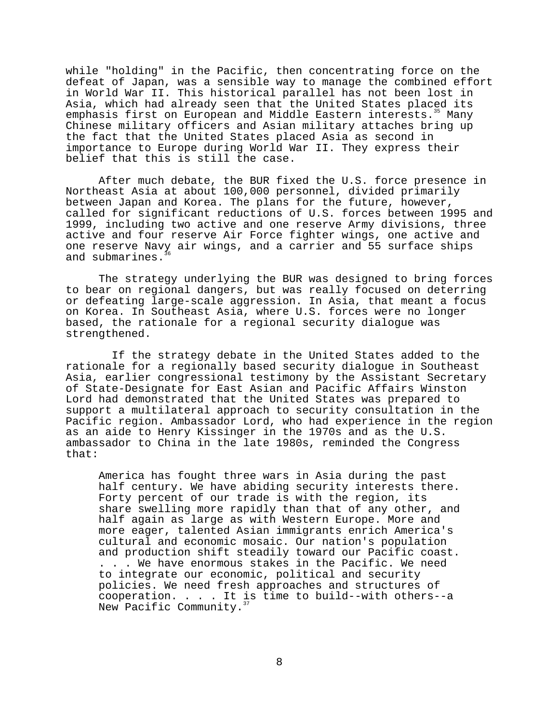while "holding" in the Pacific, then concentrating force on the defeat of Japan, was a sensible way to manage the combined effort in World War II. This historical parallel has not been lost in Asia, which had already seen that the United States placed its emphasis first on European and Middle Eastern interests.<sup>35</sup> Many Chinese military officers and Asian military attaches bring up the fact that the United States placed Asia as second in importance to Europe during World War II. They express their belief that this is still the case.

After much debate, the BUR fixed the U.S. force presence in Northeast Asia at about 100,000 personnel, divided primarily between Japan and Korea. The plans for the future, however, called for significant reductions of U.S. forces between 1995 and 1999, including two active and one reserve Army divisions, three active and four reserve Air Force fighter wings, one active and one reserve Navy air wings, and a carrier and 55 surface ships and submarines.

The strategy underlying the BUR was designed to bring forces to bear on regional dangers, but was really focused on deterring or defeating large-scale aggression. In Asia, that meant a focus on Korea. In Southeast Asia, where U.S. forces were no longer based, the rationale for a regional security dialogue was strengthened.

 If the strategy debate in the United States added to the rationale for a regionally based security dialogue in Southeast Asia, earlier congressional testimony by the Assistant Secretary of State-Designate for East Asian and Pacific Affairs Winston Lord had demonstrated that the United States was prepared to support a multilateral approach to security consultation in the Pacific region. Ambassador Lord, who had experience in the region as an aide to Henry Kissinger in the 1970s and as the U.S. ambassador to China in the late 1980s, reminded the Congress that:

America has fought three wars in Asia during the past half century. We have abiding security interests there. Forty percent of our trade is with the region, its share swelling more rapidly than that of any other, and half again as large as with Western Europe. More and more eager, talented Asian immigrants enrich America's cultural and economic mosaic. Our nation's population and production shift steadily toward our Pacific coast. . . . We have enormous stakes in the Pacific. We need to integrate our economic, political and security policies. We need fresh approaches and structures of cooperation. . . . It is time to build--with others--a New Pacific Community.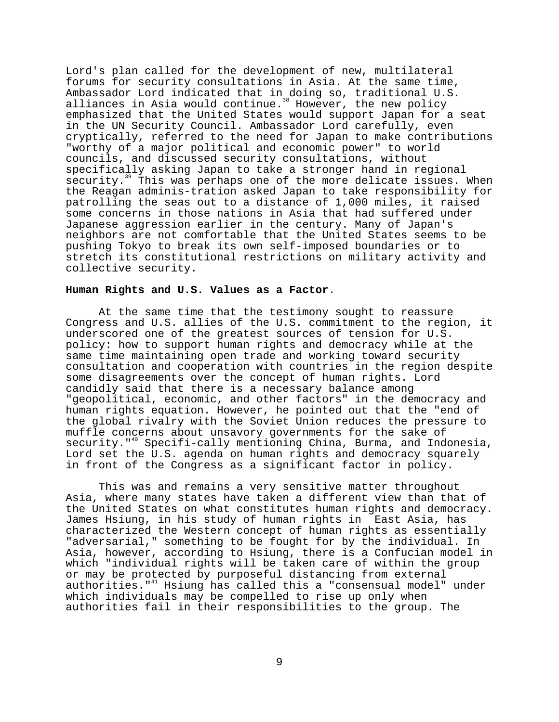Lord's plan called for the development of new, multilateral forums for security consultations in Asia. At the same time, Ambassador Lord indicated that in doing so, traditional U.S. alliances in Asia would continue.<sup>38</sup> However, the new policy emphasized that the United States would support Japan for a seat in the UN Security Council. Ambassador Lord carefully, even cryptically, referred to the need for Japan to make contributions "worthy of a major political and economic power" to world councils, and discussed security consultations, without specifically asking Japan to take a stronger hand in regional security.<sup>39</sup> This was perhaps one of the more delicate issues. When the Reagan adminis-tration asked Japan to take responsibility for patrolling the seas out to a distance of 1,000 miles, it raised some concerns in those nations in Asia that had suffered under Japanese aggression earlier in the century. Many of Japan's neighbors are not comfortable that the United States seems to be pushing Tokyo to break its own self-imposed boundaries or to stretch its constitutional restrictions on military activity and collective security.

### **Human Rights and U.S. Values as a Factor**.

At the same time that the testimony sought to reassure Congress and U.S. allies of the U.S. commitment to the region, it underscored one of the greatest sources of tension for U.S. policy: how to support human rights and democracy while at the same time maintaining open trade and working toward security consultation and cooperation with countries in the region despite some disagreements over the concept of human rights. Lord candidly said that there is a necessary balance among "geopolitical, economic, and other factors" in the democracy and human rights equation. However, he pointed out that the "end of the global rivalry with the Soviet Union reduces the pressure to muffle concerns about unsavory governments for the sake of security."<sup>40</sup> Specifi-cally mentioning China, Burma, and Indonesia, Lord set the U.S. agenda on human rights and democracy squarely in front of the Congress as a significant factor in policy.

This was and remains a very sensitive matter throughout Asia, where many states have taken a different view than that of the United States on what constitutes human rights and democracy. James Hsiung, in his study of human rights in East Asia, has characterized the Western concept of human rights as essentially "adversarial," something to be fought for by the individual. In Asia, however, according to Hsiung, there is a Confucian model in which "individual rights will be taken care of within the group or may be protected by purposeful distancing from external authorities."41 Hsiung has called this a "consensual model" under which individuals may be compelled to rise up only when authorities fail in their responsibilities to the group. The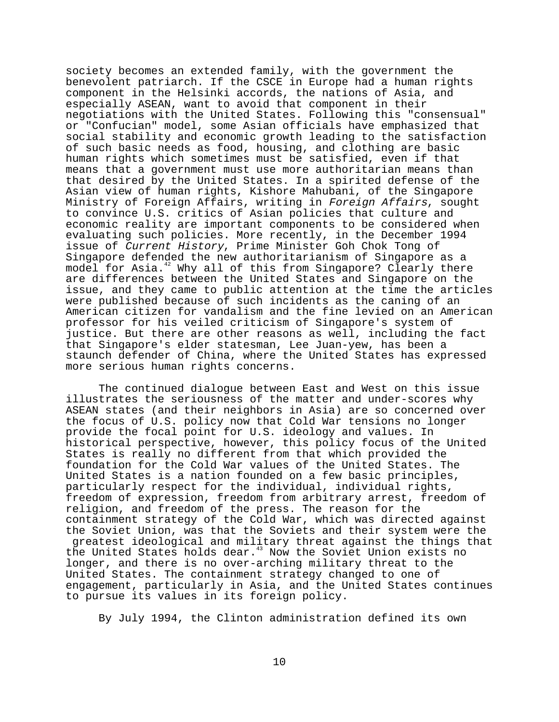society becomes an extended family, with the government the benevolent patriarch. If the CSCE in Europe had a human rights component in the Helsinki accords, the nations of Asia, and especially ASEAN, want to avoid that component in their negotiations with the United States. Following this "consensual" or "Confucian" model, some Asian officials have emphasized that social stability and economic growth leading to the satisfaction of such basic needs as food, housing, and clothing are basic human rights which sometimes must be satisfied, even if that means that a government must use more authoritarian means than that desired by the United States. In a spirited defense of the Asian view of human rights, Kishore Mahubani, of the Singapore Ministry of Foreign Affairs, writing in Foreign Affairs, sought to convince U.S. critics of Asian policies that culture and economic reality are important components to be considered when evaluating such policies. More recently, in the December 1994 issue of Current History, Prime Minister Goh Chok Tong of Singapore defended the new authoritarianism of Singapore as a model for Asia.<sup>42</sup> Why all of this from Singapore? Clearly there are differences between the United States and Singapore on the issue, and they came to public attention at the time the articles were published because of such incidents as the caning of an American citizen for vandalism and the fine levied on an American professor for his veiled criticism of Singapore's system of justice. But there are other reasons as well, including the fact that Singapore's elder statesman, Lee Juan-yew, has been a staunch defender of China, where the United States has expressed more serious human rights concerns.

The continued dialogue between East and West on this issue illustrates the seriousness of the matter and under-scores why ASEAN states (and their neighbors in Asia) are so concerned over the focus of U.S. policy now that Cold War tensions no longer provide the focal point for U.S. ideology and values. In historical perspective, however, this policy focus of the United States is really no different from that which provided the foundation for the Cold War values of the United States. The United States is a nation founded on a few basic principles, particularly respect for the individual, individual rights, freedom of expression, freedom from arbitrary arrest, freedom of religion, and freedom of the press. The reason for the containment strategy of the Cold War, which was directed against the Soviet Union, was that the Soviets and their system were the greatest ideological and military threat against the things that the United States holds dear.<sup>43</sup> Now the Soviet Union exists no longer, and there is no over-arching military threat to the United States. The containment strategy changed to one of engagement, particularly in Asia, and the United States continues to pursue its values in its foreign policy.

By July 1994, the Clinton administration defined its own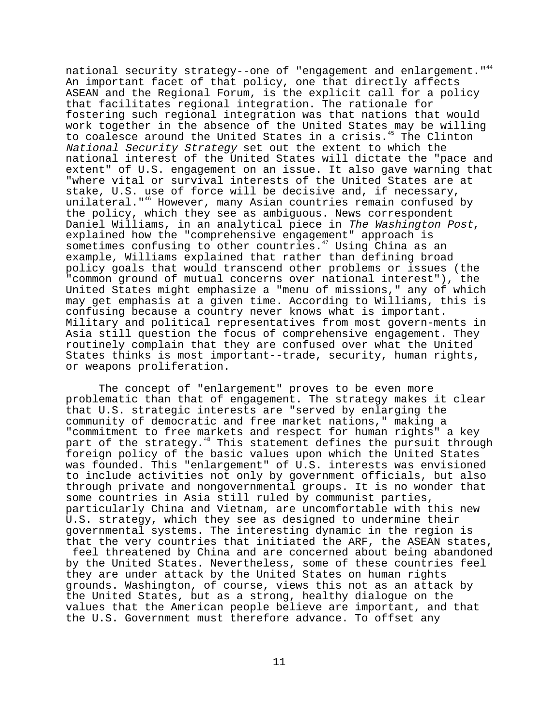national security strategy--one of "engagement and enlargement."<sup>44</sup> An important facet of that policy, one that directly affects ASEAN and the Regional Forum, is the explicit call for a policy that facilitates regional integration. The rationale for fostering such regional integration was that nations that would work together in the absence of the United States may be willing to coalesce around the United States in a crisis.<sup>45</sup> The Clinton National Security Strategy set out the extent to which the national interest of the United States will dictate the "pace and extent" of U.S. engagement on an issue. It also gave warning that "where vital or survival interests of the United States are at stake, U.S. use of force will be decisive and, if necessary, unilateral."<sup>46</sup> However, many Asian countries remain confused by the policy, which they see as ambiguous. News correspondent Daniel Williams, in an analytical piece in The Washington Post, explained how the "comprehensive engagement" approach is sometimes confusing to other countries.<sup>47</sup> Using China as an example, Williams explained that rather than defining broad policy goals that would transcend other problems or issues (the "common ground of mutual concerns over national interest"), the United States might emphasize a "menu of missions," any of which may get emphasis at a given time. According to Williams, this is confusing because a country never knows what is important. Military and political representatives from most govern-ments in Asia still question the focus of comprehensive engagement. They routinely complain that they are confused over what the United States thinks is most important--trade, security, human rights, or weapons proliferation.

The concept of "enlargement" proves to be even more problematic than that of engagement. The strategy makes it clear that U.S. strategic interests are "served by enlarging the community of democratic and free market nations," making a "commitment to free markets and respect for human rights" a key part of the strategy.<sup>48</sup> This statement defines the pursuit through foreign policy of the basic values upon which the United States was founded. This "enlargement" of U.S. interests was envisioned to include activities not only by government officials, but also through private and nongovernmental groups. It is no wonder that some countries in Asia still ruled by communist parties, particularly China and Vietnam, are uncomfortable with this new U.S. strategy, which they see as designed to undermine their governmental systems. The interesting dynamic in the region is that the very countries that initiated the ARF, the ASEAN states,

 feel threatened by China and are concerned about being abandoned by the United States. Nevertheless, some of these countries feel they are under attack by the United States on human rights grounds. Washington, of course, views this not as an attack by the United States, but as a strong, healthy dialogue on the values that the American people believe are important, and that the U.S. Government must therefore advance. To offset any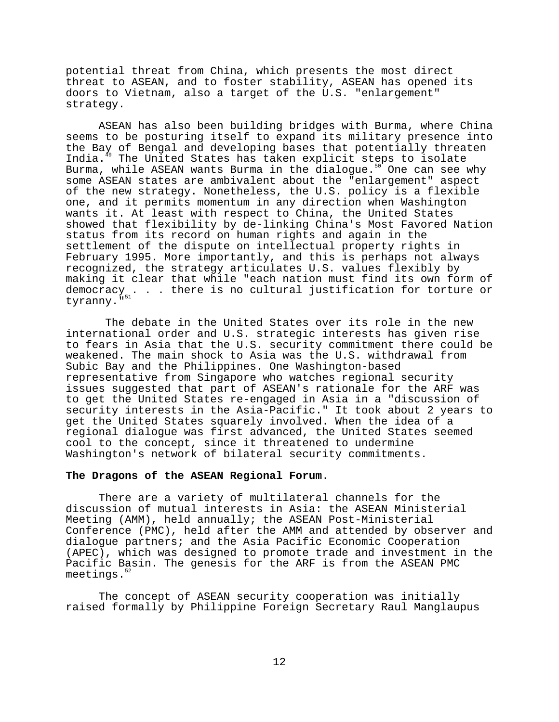potential threat from China, which presents the most direct threat to ASEAN, and to foster stability, ASEAN has opened its doors to Vietnam, also a target of the U.S. "enlargement" strategy.

ASEAN has also been building bridges with Burma, where China seems to be posturing itself to expand its military presence into the Bay of Bengal and developing bases that potentially threaten India.<sup>49</sup> The United States has taken explicit steps to isolate Burma, while ASEAN wants Burma in the dialogue.<sup>50</sup> One can see why some ASEAN states are ambivalent about the "enlargement" aspect of the new strategy. Nonetheless, the U.S. policy is a flexible one, and it permits momentum in any direction when Washington wants it. At least with respect to China, the United States showed that flexibility by de-linking China's Most Favored Nation status from its record on human rights and again in the settlement of the dispute on intellectual property rights in February 1995. More importantly, and this is perhaps not always recognized, the strategy articulates U.S. values flexibly by making it clear that while "each nation must find its own form of democracy . . . there is no cultural justification for torture or tyranny.<sup>"51</sup>

 The debate in the United States over its role in the new international order and U.S. strategic interests has given rise to fears in Asia that the U.S. security commitment there could be weakened. The main shock to Asia was the U.S. withdrawal from Subic Bay and the Philippines. One Washington-based representative from Singapore who watches regional security issues suggested that part of ASEAN's rationale for the ARF was to get the United States re-engaged in Asia in a "discussion of security interests in the Asia-Pacific." It took about 2 years to get the United States squarely involved. When the idea of a regional dialogue was first advanced, the United States seemed cool to the concept, since it threatened to undermine Washington's network of bilateral security commitments.

# **The Dragons of the ASEAN Regional Forum**.

There are a variety of multilateral channels for the discussion of mutual interests in Asia: the ASEAN Ministerial Meeting (AMM), held annually; the ASEAN Post-Ministerial Conference (PMC), held after the AMM and attended by observer and dialogue partners; and the Asia Pacific Economic Cooperation (APEC), which was designed to promote trade and investment in the Pacific Basin. The genesis for the ARF is from the ASEAN PMC meetings.<sup>5</sup>

The concept of ASEAN security cooperation was initially raised formally by Philippine Foreign Secretary Raul Manglaupus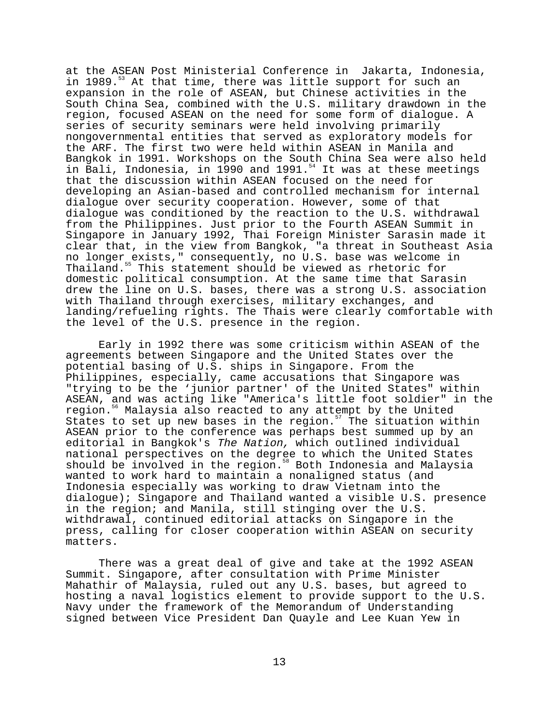at the ASEAN Post Ministerial Conference in Jakarta, Indonesia, in 1989. $53$  At that time, there was little support for such an expansion in the role of ASEAN, but Chinese activities in the South China Sea, combined with the U.S. military drawdown in the region, focused ASEAN on the need for some form of dialogue. A series of security seminars were held involving primarily nongovernmental entities that served as exploratory models for the ARF. The first two were held within ASEAN in Manila and Bangkok in 1991. Workshops on the South China Sea were also held banghon in 1991. Workshops on the south china sea were also held<br>in Bali, Indonesia, in 1990 and 1991.<sup>54</sup> It was at these meetings that the discussion within ASEAN focused on the need for developing an Asian-based and controlled mechanism for internal dialogue over security cooperation. However, some of that dialogue was conditioned by the reaction to the U.S. withdrawal from the Philippines. Just prior to the Fourth ASEAN Summit in Singapore in January 1992, Thai Foreign Minister Sarasin made it clear that, in the view from Bangkok, "a threat in Southeast Asia no longer exists," consequently, no U.S. base was welcome in Thailand.<sup>55</sup> This statement should be viewed as rhetoric for domestic political consumption. At the same time that Sarasin drew the line on U.S. bases, there was a strong U.S. association with Thailand through exercises, military exchanges, and landing/refueling rights. The Thais were clearly comfortable with the level of the U.S. presence in the region.

Early in 1992 there was some criticism within ASEAN of the agreements between Singapore and the United States over the potential basing of U.S. ships in Singapore. From the Philippines, especially, came accusations that Singapore was "trying to be the 'junior partner' of the United States" within ASEAN, and was acting like "America's little foot soldier" in the region.<sup>56</sup> Malaysia also reacted to any attempt by the United States to set up new bases in the region.<sup>57</sup> The situation within ASEAN prior to the conference was perhaps best summed up by an editorial in Bangkok's The Nation, which outlined individual national perspectives on the degree to which the United States should be involved in the region.<sup>58</sup> Both Indonesia and Malaysia wanted to work hard to maintain a nonaligned status (and Indonesia especially was working to draw Vietnam into the dialogue); Singapore and Thailand wanted a visible U.S. presence in the region; and Manila, still stinging over the U.S. withdrawal, continued editorial attacks on Singapore in the press, calling for closer cooperation within ASEAN on security matters.

There was a great deal of give and take at the 1992 ASEAN Summit. Singapore, after consultation with Prime Minister Mahathir of Malaysia, ruled out any U.S. bases, but agreed to hosting a naval logistics element to provide support to the U.S. Navy under the framework of the Memorandum of Understanding signed between Vice President Dan Quayle and Lee Kuan Yew in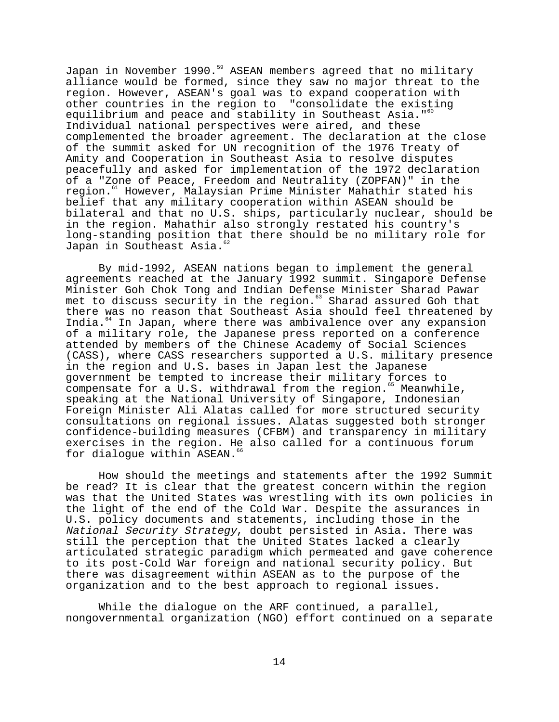Japan in November 1990.<sup>59</sup> ASEAN members agreed that no military alliance would be formed, since they saw no major threat to the region. However, ASEAN's goal was to expand cooperation with other countries in the region to "consolidate the existing equilibrium and peace and stability in Southeast Asia."<sup>60</sup> Individual national perspectives were aired, and these complemented the broader agreement. The declaration at the close of the summit asked for UN recognition of the 1976 Treaty of Amity and Cooperation in Southeast Asia to resolve disputes peacefully and asked for implementation of the 1972 declaration of a "Zone of Peace, Freedom and Neutrality (ZOPFAN)" in the region.61 However, Malaysian Prime Minister Mahathir stated his belief that any military cooperation within ASEAN should be bilateral and that no U.S. ships, particularly nuclear, should be in the region. Mahathir also strongly restated his country's long-standing position that there should be no military role for Japan in Southeast Asia.<sup>62</sup>

By mid-1992, ASEAN nations began to implement the general agreements reached at the January 1992 summit. Singapore Defense Minister Goh Chok Tong and Indian Defense Minister Sharad Pawar met to discuss security in the region.<sup>63</sup> Sharad assured Goh that there was no reason that Southeast Asia should feel threatened by India.<sup>64</sup> In Japan, where there was ambivalence over any expansion of a military role, the Japanese press reported on a conference attended by members of the Chinese Academy of Social Sciences (CASS), where CASS researchers supported a U.S. military presence in the region and U.S. bases in Japan lest the Japanese government be tempted to increase their military forces to compensate for a  $\overline{U}.S$ . withdrawal from the region.<sup>65</sup> Meanwhile, speaking at the National University of Singapore, Indonesian Foreign Minister Ali Alatas called for more structured security consultations on regional issues. Alatas suggested both stronger confidence-building measures (CFBM) and transparency in military exercises in the region. He also called for a continuous forum for dialoque within ASEAN.<sup>66</sup>

How should the meetings and statements after the 1992 Summit be read? It is clear that the greatest concern within the region was that the United States was wrestling with its own policies in the light of the end of the Cold War. Despite the assurances in U.S. policy documents and statements, including those in the National Security Strategy, doubt persisted in Asia. There was still the perception that the United States lacked a clearly articulated strategic paradigm which permeated and gave coherence to its post-Cold War foreign and national security policy. But there was disagreement within ASEAN as to the purpose of the organization and to the best approach to regional issues.

While the dialoque on the ARF continued, a parallel, nongovernmental organization (NGO) effort continued on a separate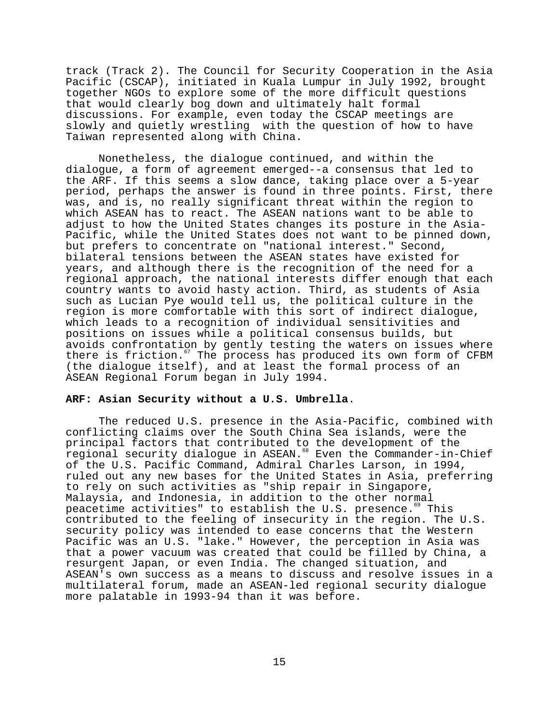track (Track 2). The Council for Security Cooperation in the Asia Pacific (CSCAP), initiated in Kuala Lumpur in July 1992, brought together NGOs to explore some of the more difficult questions that would clearly bog down and ultimately halt formal discussions. For example, even today the CSCAP meetings are slowly and quietly wrestling with the question of how to have Taiwan represented along with China.

Nonetheless, the dialogue continued, and within the dialogue, a form of agreement emerged--a consensus that led to the ARF. If this seems a slow dance, taking place over a 5-year period, perhaps the answer is found in three points. First, there was, and is, no really significant threat within the region to which ASEAN has to react. The ASEAN nations want to be able to adjust to how the United States changes its posture in the Asia-Pacific, while the United States does not want to be pinned down, but prefers to concentrate on "national interest." Second, bilateral tensions between the ASEAN states have existed for years, and although there is the recognition of the need for a regional approach, the national interests differ enough that each country wants to avoid hasty action. Third, as students of Asia such as Lucian Pye would tell us, the political culture in the region is more comfortable with this sort of indirect dialogue, which leads to a recognition of individual sensitivities and positions on issues while a political consensus builds, but avoids confrontation by gently testing the waters on issues where there is friction.<sup>67</sup> The process has produced its own form of CFBM (the dialogue itself), and at least the formal process of an ASEAN Regional Forum began in July 1994.

# **ARF: Asian Security without a U.S. Umbrella**.

The reduced U.S. presence in the Asia-Pacific, combined with conflicting claims over the South China Sea islands, were the principal factors that contributed to the development of the regional security dialogue in ASEAN.<sup>68</sup> Even the Commander-in-Chief of the U.S. Pacific Command, Admiral Charles Larson, in 1994, ruled out any new bases for the United States in Asia, preferring to rely on such activities as "ship repair in Singapore, Malaysia, and Indonesia, in addition to the other normal peacetime activities" to establish the U.S. presence.<sup>69</sup> This contributed to the feeling of insecurity in the region. The U.S. security policy was intended to ease concerns that the Western Pacific was an U.S. "lake." However, the perception in Asia was that a power vacuum was created that could be filled by China, a resurgent Japan, or even India. The changed situation, and ASEAN's own success as a means to discuss and resolve issues in a multilateral forum, made an ASEAN-led regional security dialogue more palatable in 1993-94 than it was before.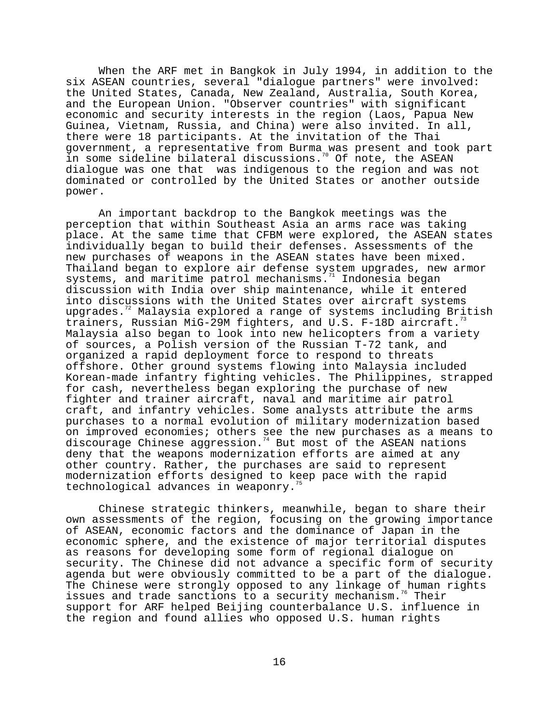When the ARF met in Bangkok in July 1994, in addition to the six ASEAN countries, several "dialogue partners" were involved: the United States, Canada, New Zealand, Australia, South Korea, and the European Union. "Observer countries" with significant economic and security interests in the region (Laos, Papua New Guinea, Vietnam, Russia, and China) were also invited. In all, there were 18 participants. At the invitation of the Thai government, a representative from Burma was present and took part in some sideline bilateral discussions.<sup>70</sup> Of note, the ASEAN dialogue was one that was indigenous to the region and was not dominated or controlled by the United States or another outside power.

An important backdrop to the Bangkok meetings was the perception that within Southeast Asia an arms race was taking place. At the same time that CFBM were explored, the ASEAN states individually began to build their defenses. Assessments of the new purchases of weapons in the ASEAN states have been mixed. Thailand began to explore air defense system upgrades, new armor systems, and maritime patrol mechanisms.<sup>71</sup> Indonesia began discussion with India over ship maintenance, while it entered into discussions with the United States over aircraft systems upgrades.<sup>72</sup> Malaysia explored a range of systems including British trainers, Russian MiG-29M fighters, and U.S. F-18D aircraft. Malaysia also began to look into new helicopters from a variety of sources, a Polish version of the Russian T-72 tank, and organized a rapid deployment force to respond to threats offshore. Other ground systems flowing into Malaysia included Korean-made infantry fighting vehicles. The Philippines, strapped for cash, nevertheless began exploring the purchase of new fighter and trainer aircraft, naval and maritime air patrol craft, and infantry vehicles. Some analysts attribute the arms purchases to a normal evolution of military modernization based on improved economies; others see the new purchases as a means to discourage Chinese aggression.<sup>74</sup> But most of the ASEAN nations deny that the weapons modernization efforts are aimed at any other country. Rather, the purchases are said to represent modernization efforts designed to keep pace with the rapid technological advances in weaponry.<sup>7</sup>

Chinese strategic thinkers, meanwhile, began to share their own assessments of the region, focusing on the growing importance of ASEAN, economic factors and the dominance of Japan in the economic sphere, and the existence of major territorial disputes as reasons for developing some form of regional dialogue on security. The Chinese did not advance a specific form of security agenda but were obviously committed to be a part of the dialogue. The Chinese were strongly opposed to any linkage of human rights issues and trade sanctions to a security mechanism.<sup>76</sup> Their support for ARF helped Beijing counterbalance U.S. influence in the region and found allies who opposed U.S. human rights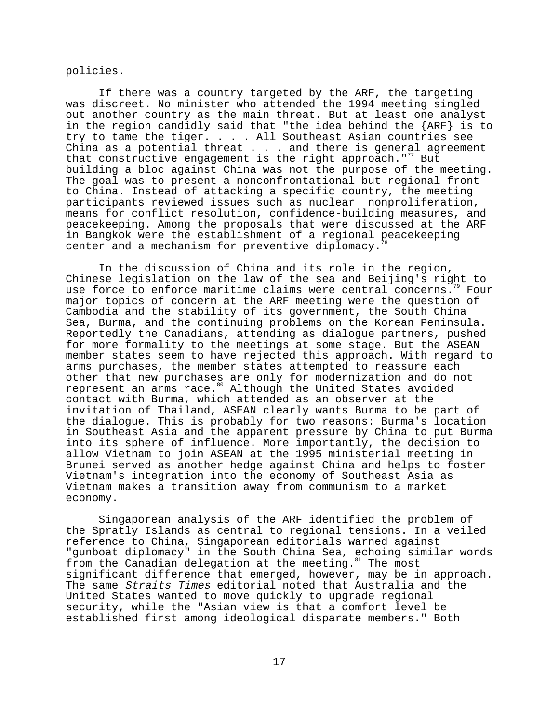policies.

If there was a country targeted by the ARF, the targeting was discreet. No minister who attended the 1994 meeting singled out another country as the main threat. But at least one analyst in the region candidly said that "the idea behind the {ARF} is to try to tame the tiger. . . . All Southeast Asian countries see China as a potential threat  $\ldots$  and there is general agreement that constructive engagement is the right approach." $\frac{7}{7}$  But building a bloc against China was not the purpose of the meeting. The goal was to present a nonconfrontational but regional front to China. Instead of attacking a specific country, the meeting participants reviewed issues such as nuclear nonproliferation, means for conflict resolution, confidence-building measures, and peacekeeping. Among the proposals that were discussed at the ARF in Bangkok were the establishment of a regional peacekeeping center and a mechanism for preventive diplomacy.

In the discussion of China and its role in the region, Chinese legislation on the law of the sea and Beijing's right to use force to enforce maritime claims were central concerns.<sup>79</sup> Four major topics of concern at the ARF meeting were the question of Cambodia and the stability of its government, the South China Sea, Burma, and the continuing problems on the Korean Peninsula. Reportedly the Canadians, attending as dialogue partners, pushed for more formality to the meetings at some stage. But the ASEAN member states seem to have rejected this approach. With regard to arms purchases, the member states attempted to reassure each other that new purchases are only for modernization and do not represent an arms race.<sup>80</sup> Although the United States avoided contact with Burma, which attended as an observer at the invitation of Thailand, ASEAN clearly wants Burma to be part of the dialogue. This is probably for two reasons: Burma's location in Southeast Asia and the apparent pressure by China to put Burma into its sphere of influence. More importantly, the decision to allow Vietnam to join ASEAN at the 1995 ministerial meeting in Brunei served as another hedge against China and helps to foster Vietnam's integration into the economy of Southeast Asia as Vietnam makes a transition away from communism to a market economy.

Singaporean analysis of the ARF identified the problem of the Spratly Islands as central to regional tensions. In a veiled reference to China, Singaporean editorials warned against "gunboat diplomacy" in the South China Sea, echoing similar words from the Canadian delegation at the meeting.<sup>81</sup> The most significant difference that emerged, however, may be in approach. The same Straits Times editorial noted that Australia and the United States wanted to move quickly to upgrade regional security, while the "Asian view is that a comfort level be established first among ideological disparate members." Both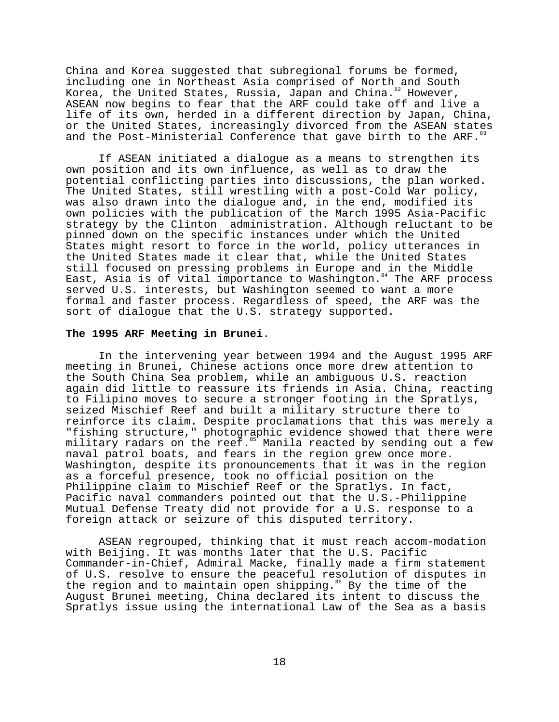China and Korea suggested that subregional forums be formed, including one in Northeast Asia comprised of North and South Korea, the United States, Russia, Japan and China.<sup>82</sup> However, ASEAN now begins to fear that the ARF could take off and live a life of its own, herded in a different direction by Japan, China, or the United States, increasingly divorced from the ASEAN states and the Post-Ministerial Conference that gave birth to the ARF.

If ASEAN initiated a dialogue as a means to strengthen its own position and its own influence, as well as to draw the potential conflicting parties into discussions, the plan worked. The United States, still wrestling with a post-Cold War policy, was also drawn into the dialogue and, in the end, modified its own policies with the publication of the March 1995 Asia-Pacific strategy by the Clinton administration. Although reluctant to be pinned down on the specific instances under which the United States might resort to force in the world, policy utterances in the United States made it clear that, while the United States still focused on pressing problems in Europe and in the Middle East, Asia is of vital importance to Washington.<sup>84</sup> The ARF process served U.S. interests, but Washington seemed to want a more formal and faster process. Regardless of speed, the ARF was the sort of dialogue that the U.S. strategy supported.

#### **The 1995 ARF Meeting in Brunei**.

In the intervening year between 1994 and the August 1995 ARF meeting in Brunei, Chinese actions once more drew attention to the South China Sea problem, while an ambiguous U.S. reaction again did little to reassure its friends in Asia. China, reacting to Filipino moves to secure a stronger footing in the Spratlys, seized Mischief Reef and built a military structure there to reinforce its claim. Despite proclamations that this was merely a "fishing structure," photographic evidence showed that there were military radars on the reef.<sup>85</sup> Manila reacted by sending out a few naval patrol boats, and fears in the region grew once more. Washington, despite its pronouncements that it was in the region as a forceful presence, took no official position on the Philippine claim to Mischief Reef or the Spratlys. In fact, Pacific naval commanders pointed out that the U.S.-Philippine Mutual Defense Treaty did not provide for a U.S. response to a foreign attack or seizure of this disputed territory.

ASEAN regrouped, thinking that it must reach accom-modation with Beijing. It was months later that the U.S. Pacific Commander-in-Chief, Admiral Macke, finally made a firm statement of U.S. resolve to ensure the peaceful resolution of disputes in the region and to maintain open shipping.<sup>86</sup> By the time of the August Brunei meeting, China declared its intent to discuss the Spratlys issue using the international Law of the Sea as a basis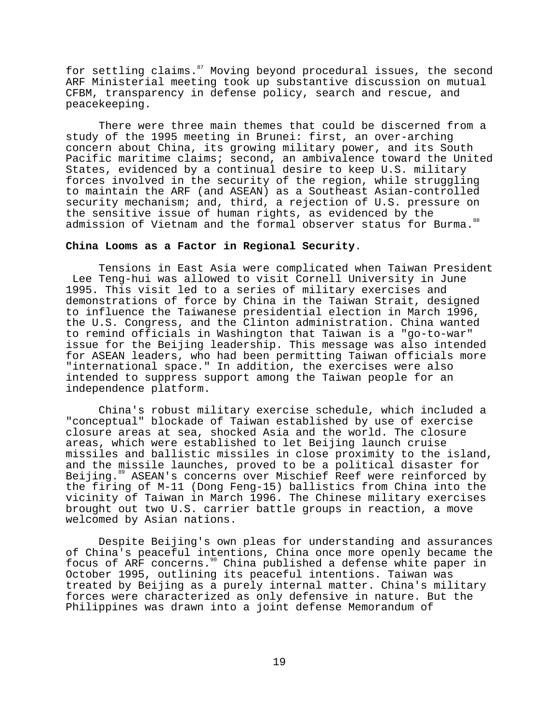for settling claims.<sup>87</sup> Moving beyond procedural issues, the second ARF Ministerial meeting took up substantive discussion on mutual CFBM, transparency in defense policy, search and rescue, and peacekeeping.

There were three main themes that could be discerned from a study of the 1995 meeting in Brunei: first, an over-arching concern about China, its growing military power, and its South Pacific maritime claims; second, an ambivalence toward the United States, evidenced by a continual desire to keep U.S. military forces involved in the security of the region, while struggling to maintain the ARF (and ASEAN) as a Southeast Asian-controlled security mechanism; and, third, a rejection of U.S. pressure on the sensitive issue of human rights, as evidenced by the admission of Vietnam and the formal observer status for Burma.<sup>88</sup>

# **China Looms as a Factor in Regional Security**.

Tensions in East Asia were complicated when Taiwan President Lee Teng-hui was allowed to visit Cornell University in June 1995. This visit led to a series of military exercises and demonstrations of force by China in the Taiwan Strait, designed to influence the Taiwanese presidential election in March 1996, the U.S. Congress, and the Clinton administration. China wanted to remind officials in Washington that Taiwan is a "go-to-war" issue for the Beijing leadership. This message was also intended for ASEAN leaders, who had been permitting Taiwan officials more "international space." In addition, the exercises were also intended to suppress support among the Taiwan people for an independence platform.

China's robust military exercise schedule, which included a "conceptual" blockade of Taiwan established by use of exercise closure areas at sea, shocked Asia and the world. The closure areas, which were established to let Beijing launch cruise missiles and ballistic missiles in close proximity to the island, and the missile launches, proved to be a political disaster for Beijing.<sup>89</sup> ASEAN's concerns over Mischief Reef were reinforced by the firing of M-11 (Dong Feng-15) ballistics from China into the vicinity of Taiwan in March 1996. The Chinese military exercises brought out two U.S. carrier battle groups in reaction, a move welcomed by Asian nations.

Despite Beijing's own pleas for understanding and assurances of China's peaceful intentions, China once more openly became the focus of ARF concerns.<sup>90</sup> China published a defense white paper in October 1995, outlining its peaceful intentions. Taiwan was treated by Beijing as a purely internal matter. China's military forces were characterized as only defensive in nature. But the Philippines was drawn into a joint defense Memorandum of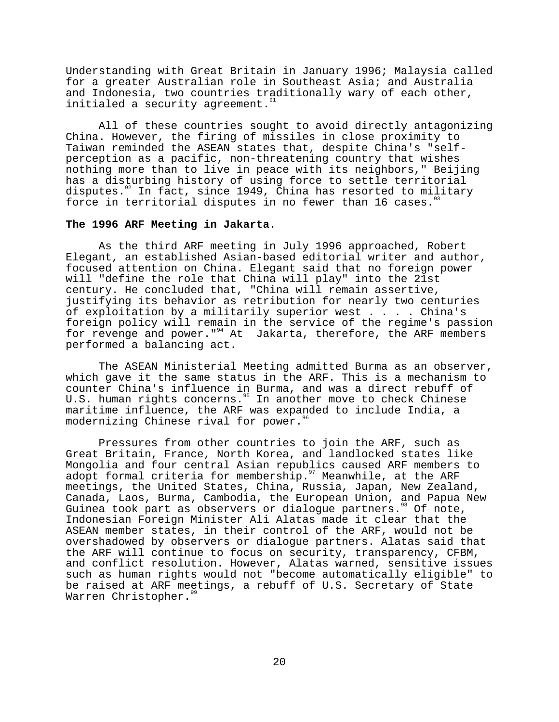Understanding with Great Britain in January 1996; Malaysia called for a greater Australian role in Southeast Asia; and Australia and Indonesia, two countries traditionally wary of each other, initialed a security agreement.

All of these countries sought to avoid directly antagonizing China. However, the firing of missiles in close proximity to Taiwan reminded the ASEAN states that, despite China's "selfperception as a pacific, non-threatening country that wishes nothing more than to live in peace with its neighbors," Beijing has a disturbing history of using force to settle territorial disputes.<sup>92</sup> In fact, since 1949, China has resorted to military force in territorial disputes in no fewer than 16 cases. $33$ 

### **The 1996 ARF Meeting in Jakarta**.

As the third ARF meeting in July 1996 approached, Robert Elegant, an established Asian-based editorial writer and author, focused attention on China. Elegant said that no foreign power will "define the role that China will play" into the 21st century. He concluded that, "China will remain assertive, justifying its behavior as retribution for nearly two centuries of exploitation by a militarily superior west . . . . China's foreign policy will remain in the service of the regime's passion for revenge and power."<sup>94</sup> At Jakarta, therefore, the ARF members performed a balancing act.

The ASEAN Ministerial Meeting admitted Burma as an observer, which gave it the same status in the ARF. This is a mechanism to counter China's influence in Burma, and was a direct rebuff of U.S. human rights concerns.<sup>95</sup> In another move to check Chinese maritime influence, the ARF was expanded to include India, a modernizing Chinese rival for power.<sup>96</sup>

Pressures from other countries to join the ARF, such as Great Britain, France, North Korea, and landlocked states like Mongolia and four central Asian republics caused ARF members to adopt formal criteria for membership.<sup>97</sup> Meanwhile, at the ARF meetings, the United States, China, Russia, Japan, New Zealand, Canada, Laos, Burma, Cambodia, the European Union, and Papua New Guinea took part as observers or dialoque partners.<sup>98</sup> Of note, Indonesian Foreign Minister Ali Alatas made it clear that the ASEAN member states, in their control of the ARF, would not be overshadowed by observers or dialogue partners. Alatas said that the ARF will continue to focus on security, transparency, CFBM, and conflict resolution. However, Alatas warned, sensitive issues such as human rights would not "become automatically eligible" to be raised at ARF meetings, a rebuff of U.S. Secretary of State Warren Christopher.<sup>9</sup>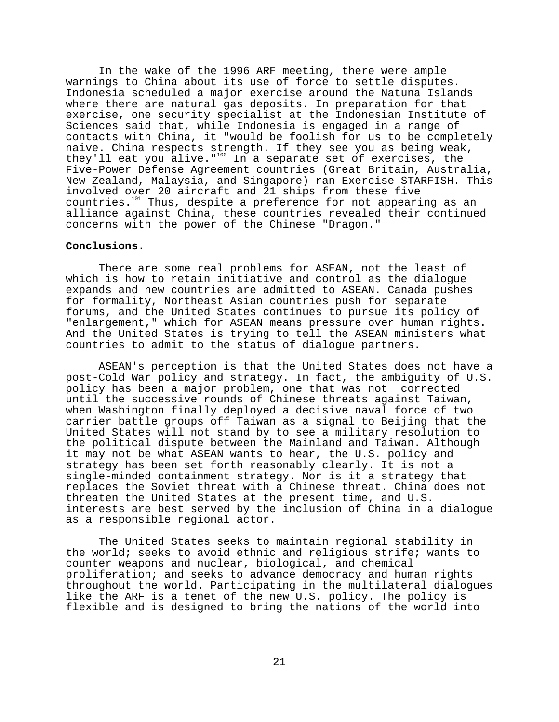In the wake of the 1996 ARF meeting, there were ample warnings to China about its use of force to settle disputes. Indonesia scheduled a major exercise around the Natuna Islands where there are natural gas deposits. In preparation for that exercise, one security specialist at the Indonesian Institute of Sciences said that, while Indonesia is engaged in a range of contacts with China, it "would be foolish for us to be completely naive. China respects strength. If they see you as being weak, they'll eat you alive."100 In a separate set of exercises, the Five-Power Defense Agreement countries (Great Britain, Australia, New Zealand, Malaysia, and Singapore) ran Exercise STARFISH. This involved over 20 aircraft and 21 ships from these five countries.<sup>101</sup> Thus, despite a preference for not appearing as an alliance against China, these countries revealed their continued concerns with the power of the Chinese "Dragon."

# **Conclusions**.

There are some real problems for ASEAN, not the least of which is how to retain initiative and control as the dialogue expands and new countries are admitted to ASEAN. Canada pushes for formality, Northeast Asian countries push for separate forums, and the United States continues to pursue its policy of "enlargement," which for ASEAN means pressure over human rights. And the United States is trying to tell the ASEAN ministers what countries to admit to the status of dialogue partners.

ASEAN's perception is that the United States does not have a post-Cold War policy and strategy. In fact, the ambiguity of U.S. policy has been a major problem, one that was not corrected until the successive rounds of Chinese threats against Taiwan, when Washington finally deployed a decisive naval force of two carrier battle groups off Taiwan as a signal to Beijing that the United States will not stand by to see a military resolution to the political dispute between the Mainland and Taiwan. Although it may not be what ASEAN wants to hear, the U.S. policy and strategy has been set forth reasonably clearly. It is not a single-minded containment strategy. Nor is it a strategy that replaces the Soviet threat with a Chinese threat. China does not threaten the United States at the present time, and U.S. interests are best served by the inclusion of China in a dialogue as a responsible regional actor.

The United States seeks to maintain regional stability in the world; seeks to avoid ethnic and religious strife; wants to counter weapons and nuclear, biological, and chemical proliferation; and seeks to advance democracy and human rights throughout the world. Participating in the multilateral dialogues like the ARF is a tenet of the new U.S. policy. The policy is flexible and is designed to bring the nations of the world into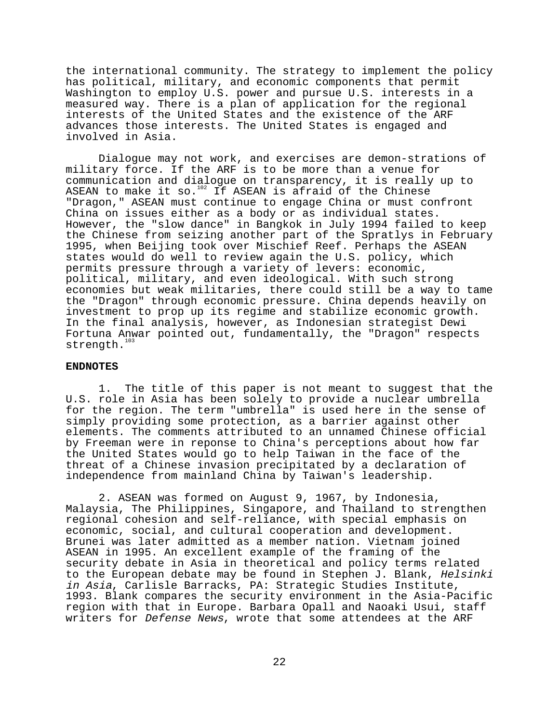the international community. The strategy to implement the policy has political, military, and economic components that permit Washington to employ U.S. power and pursue U.S. interests in a measured way. There is a plan of application for the regional interests of the United States and the existence of the ARF advances those interests. The United States is engaged and involved in Asia.

Dialogue may not work, and exercises are demon-strations of military force. If the ARF is to be more than a venue for communication and dialogue on transparency, it is really up to ASEAN to make it so.<sup>102</sup> If ASEAN is afraid of the Chinese "Dragon," ASEAN must continue to engage China or must confront China on issues either as a body or as individual states. However, the "slow dance" in Bangkok in July 1994 failed to keep the Chinese from seizing another part of the Spratlys in February 1995, when Beijing took over Mischief Reef. Perhaps the ASEAN states would do well to review again the U.S. policy, which permits pressure through a variety of levers: economic, political, military, and even ideological. With such strong economies but weak militaries, there could still be a way to tame the "Dragon" through economic pressure. China depends heavily on investment to prop up its regime and stabilize economic growth. In the final analysis, however, as Indonesian strategist Dewi Fortuna Anwar pointed out, fundamentally, the "Dragon" respects strength.<sup>103</sup>

# **ENDNOTES**

1. The title of this paper is not meant to suggest that the U.S. role in Asia has been solely to provide a nuclear umbrella for the region. The term "umbrella" is used here in the sense of simply providing some protection, as a barrier against other elements. The comments attributed to an unnamed Chinese official by Freeman were in reponse to China's perceptions about how far the United States would go to help Taiwan in the face of the threat of a Chinese invasion precipitated by a declaration of independence from mainland China by Taiwan's leadership.

2. ASEAN was formed on August 9, 1967, by Indonesia, Malaysia, The Philippines, Singapore, and Thailand to strengthen regional cohesion and self-reliance, with special emphasis on economic, social, and cultural cooperation and development. Brunei was later admitted as a member nation. Vietnam joined ASEAN in 1995. An excellent example of the framing of the security debate in Asia in theoretical and policy terms related to the European debate may be found in Stephen J. Blank, Helsinki in Asia, Carlisle Barracks, PA: Strategic Studies Institute, 1993. Blank compares the security environment in the Asia-Pacific region with that in Europe. Barbara Opall and Naoaki Usui, staff writers for Defense News, wrote that some attendees at the ARF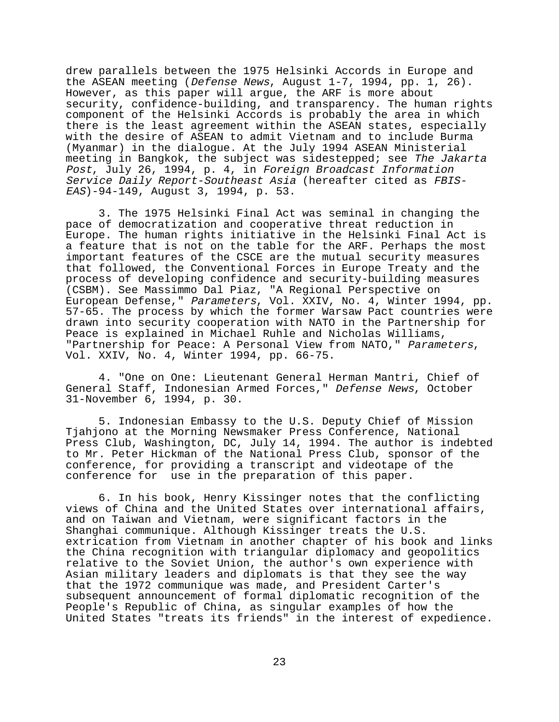drew parallels between the 1975 Helsinki Accords in Europe and the ASEAN meeting (Defense News, August 1-7, 1994, pp. 1, 26). However, as this paper will argue, the ARF is more about security, confidence-building, and transparency. The human rights component of the Helsinki Accords is probably the area in which there is the least agreement within the ASEAN states, especially with the desire of ASEAN to admit Vietnam and to include Burma (Myanmar) in the dialogue. At the July 1994 ASEAN Ministerial meeting in Bangkok, the subject was sidestepped; see The Jakarta Post, July 26, 1994, p. 4, in Foreign Broadcast Information Service Daily Report-Southeast Asia (hereafter cited as FBIS-EAS)-94-149, August 3, 1994, p. 53.

3. The 1975 Helsinki Final Act was seminal in changing the pace of democratization and cooperative threat reduction in Europe. The human rights initiative in the Helsinki Final Act is a feature that is not on the table for the ARF. Perhaps the most important features of the CSCE are the mutual security measures that followed, the Conventional Forces in Europe Treaty and the process of developing confidence and security-building measures (CSBM). See Massimmo Dal Piaz, "A Regional Perspective on European Defense," Parameters, Vol. XXIV, No. 4, Winter 1994, pp. 57-65. The process by which the former Warsaw Pact countries were drawn into security cooperation with NATO in the Partnership for Peace is explained in Michael Ruhle and Nicholas Williams, "Partnership for Peace: A Personal View from NATO," Parameters, Vol. XXIV, No. 4, Winter 1994, pp. 66-75.

4. "One on One: Lieutenant General Herman Mantri, Chief of General Staff, Indonesian Armed Forces," Defense News, October 31-November 6, 1994, p. 30.

5. Indonesian Embassy to the U.S. Deputy Chief of Mission Tjahjono at the Morning Newsmaker Press Conference, National Press Club, Washington, DC, July 14, 1994. The author is indebted to Mr. Peter Hickman of the National Press Club, sponsor of the conference, for providing a transcript and videotape of the conference for use in the preparation of this paper.

6. In his book, Henry Kissinger notes that the conflicting views of China and the United States over international affairs, and on Taiwan and Vietnam, were significant factors in the Shanghai communique. Although Kissinger treats the U.S. extrication from Vietnam in another chapter of his book and links the China recognition with triangular diplomacy and geopolitics relative to the Soviet Union, the author's own experience with Asian military leaders and diplomats is that they see the way that the 1972 communique was made, and President Carter's subsequent announcement of formal diplomatic recognition of the People's Republic of China, as singular examples of how the United States "treats its friends" in the interest of expedience.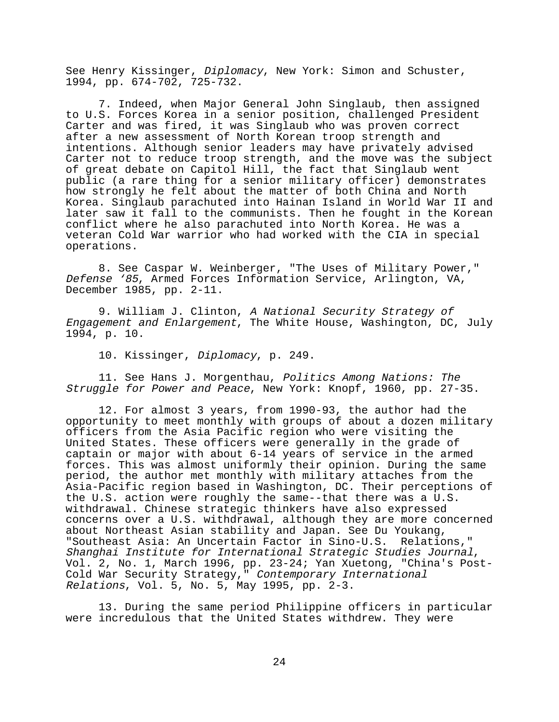See Henry Kissinger, Diplomacy, New York: Simon and Schuster, 1994, pp. 674-702, 725-732.

7. Indeed, when Major General John Singlaub, then assigned to U.S. Forces Korea in a senior position, challenged President Carter and was fired, it was Singlaub who was proven correct after a new assessment of North Korean troop strength and intentions. Although senior leaders may have privately advised Carter not to reduce troop strength, and the move was the subject of great debate on Capitol Hill, the fact that Singlaub went public (a rare thing for a senior military officer) demonstrates how strongly he felt about the matter of both China and North Korea. Singlaub parachuted into Hainan Island in World War II and later saw it fall to the communists. Then he fought in the Korean conflict where he also parachuted into North Korea. He was a veteran Cold War warrior who had worked with the CIA in special operations.

8. See Caspar W. Weinberger, "The Uses of Military Power," Defense '85, Armed Forces Information Service, Arlington, VA, December 1985, pp. 2-11.

9. William J. Clinton, A National Security Strategy of Engagement and Enlargement, The White House, Washington, DC, July 1994, p. 10.

10. Kissinger, Diplomacy, p. 249.

11. See Hans J. Morgenthau, Politics Among Nations: The Struggle for Power and Peace, New York: Knopf, 1960, pp. 27-35.

12. For almost 3 years, from 1990-93, the author had the opportunity to meet monthly with groups of about a dozen military officers from the Asia Pacific region who were visiting the United States. These officers were generally in the grade of captain or major with about 6-14 years of service in the armed forces. This was almost uniformly their opinion. During the same period, the author met monthly with military attaches from the Asia-Pacific region based in Washington, DC. Their perceptions of the U.S. action were roughly the same--that there was a U.S. withdrawal. Chinese strategic thinkers have also expressed concerns over a U.S. withdrawal, although they are more concerned about Northeast Asian stability and Japan. See Du Youkang, "Southeast Asia: An Uncertain Factor in Sino-U.S. Relations,"<br>Shanghai Institute for International Strategic Studies Journal, Vol. 2, No. 1, March 1996, pp. 23-24; Yan Xuetong, "China's Post-Cold War Security Strategy," Contemporary International Relations, Vol. 5, No. 5, May 1995, pp. 2-3.

13. During the same period Philippine officers in particular were incredulous that the United States withdrew. They were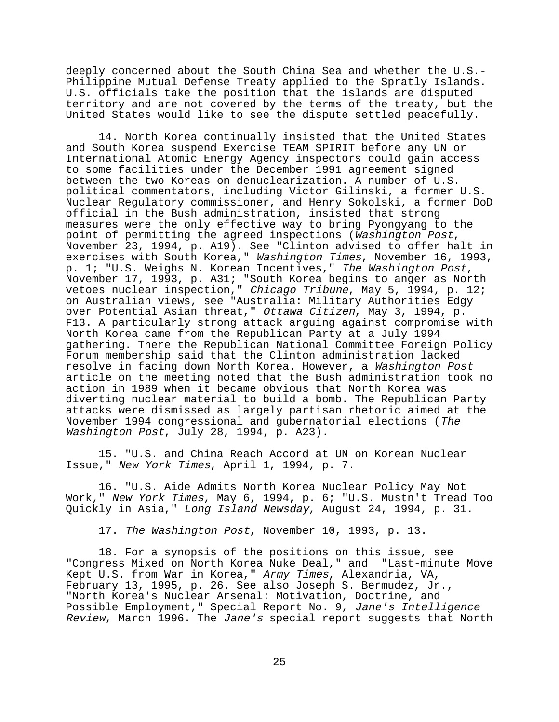deeply concerned about the South China Sea and whether the U.S.- Philippine Mutual Defense Treaty applied to the Spratly Islands. U.S. officials take the position that the islands are disputed territory and are not covered by the terms of the treaty, but the United States would like to see the dispute settled peacefully.

14. North Korea continually insisted that the United States and South Korea suspend Exercise TEAM SPIRIT before any UN or International Atomic Energy Agency inspectors could gain access to some facilities under the December 1991 agreement signed between the two Koreas on denuclearization. A number of U.S. political commentators, including Victor Gilinski, a former U.S. Nuclear Regulatory commissioner, and Henry Sokolski, a former DoD official in the Bush administration, insisted that strong measures were the only effective way to bring Pyongyang to the point of permitting the agreed inspections (Washington Post, November 23, 1994, p. A19). See "Clinton advised to offer halt in exercises with South Korea," Washington Times, November 16, 1993, p. 1; "U.S. Weighs N. Korean Incentives," The Washington Post, November 17, 1993, p. A31; "South Korea begins to anger as North vetoes nuclear inspection," Chicago Tribune, May 5, 1994, p. 12; on Australian views, see "Australia: Military Authorities Edgy over Potential Asian threat," Ottawa Citizen, May 3, 1994, p. F13. A particularly strong attack arguing against compromise with North Korea came from the Republican Party at a July 1994 gathering. There the Republican National Committee Foreign Policy Forum membership said that the Clinton administration lacked resolve in facing down North Korea. However, a Washington Post article on the meeting noted that the Bush administration took no action in 1989 when it became obvious that North Korea was diverting nuclear material to build a bomb. The Republican Party attacks were dismissed as largely partisan rhetoric aimed at the November 1994 congressional and gubernatorial elections (The Washington Post, July 28, 1994, p. A23).

15. "U.S. and China Reach Accord at UN on Korean Nuclear Issue," New York Times, April 1, 1994, p. 7.

16. "U.S. Aide Admits North Korea Nuclear Policy May Not Work," New York Times, May 6, 1994, p. 6; "U.S. Mustn't Tread Too Quickly in Asia," Long Island Newsday, August 24, 1994, p. 31.

17. The Washington Post, November 10, 1993, p. 13.

18. For a synopsis of the positions on this issue, see "Congress Mixed on North Korea Nuke Deal," and "Last-minute Move Kept U.S. from War in Korea," Army Times, Alexandria, VA, February 13, 1995, p. 26. See also Joseph S. Bermudez, Jr., "North Korea's Nuclear Arsenal: Motivation, Doctrine, and Possible Employment," Special Report No. 9, Jane's Intelligence Review, March 1996. The Jane's special report suggests that North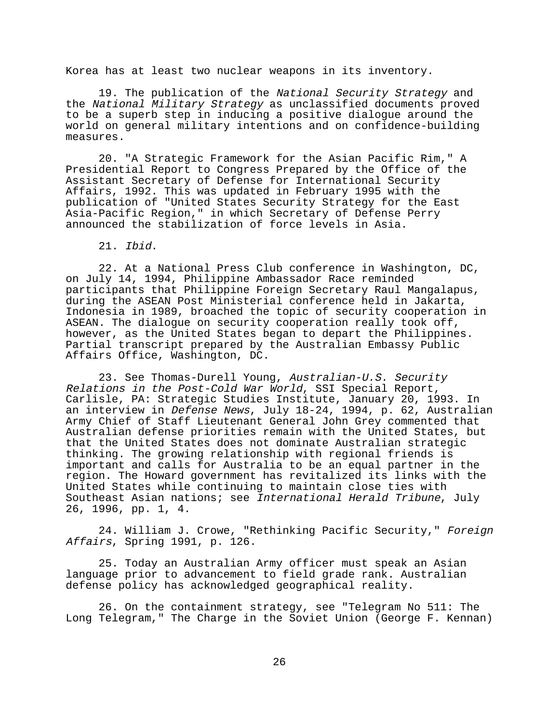Korea has at least two nuclear weapons in its inventory.

19. The publication of the National Security Strategy and the National Military Strategy as unclassified documents proved to be a superb step in inducing a positive dialogue around the world on general military intentions and on confidence-building measures.

20. "A Strategic Framework for the Asian Pacific Rim," A Presidential Report to Congress Prepared by the Office of the Assistant Secretary of Defense for International Security Affairs, 1992. This was updated in February 1995 with the publication of "United States Security Strategy for the East Asia-Pacific Region," in which Secretary of Defense Perry announced the stabilization of force levels in Asia.

21. Ibid.

22. At a National Press Club conference in Washington, DC, on July 14, 1994, Philippine Ambassador Race reminded participants that Philippine Foreign Secretary Raul Mangalapus, during the ASEAN Post Ministerial conference held in Jakarta, Indonesia in 1989, broached the topic of security cooperation in ASEAN. The dialogue on security cooperation really took off, however, as the United States began to depart the Philippines. Partial transcript prepared by the Australian Embassy Public Affairs Office, Washington, DC.

23. See Thomas-Durell Young, Australian-U.S. Security Relations in the Post-Cold War World, SSI Special Report, Carlisle, PA: Strategic Studies Institute, January 20, 1993. In an interview in Defense News, July 18-24, 1994, p. 62, Australian Army Chief of Staff Lieutenant General John Grey commented that Australian defense priorities remain with the United States, but that the United States does not dominate Australian strategic thinking. The growing relationship with regional friends is important and calls for Australia to be an equal partner in the region. The Howard government has revitalized its links with the United States while continuing to maintain close ties with Southeast Asian nations; see International Herald Tribune, July 26, 1996, pp. 1, 4.

24. William J. Crowe, "Rethinking Pacific Security," Foreign Affairs, Spring 1991, p. 126.

25. Today an Australian Army officer must speak an Asian language prior to advancement to field grade rank. Australian defense policy has acknowledged geographical reality.

26. On the containment strategy, see "Telegram No 511: The Long Telegram," The Charge in the Soviet Union (George F. Kennan)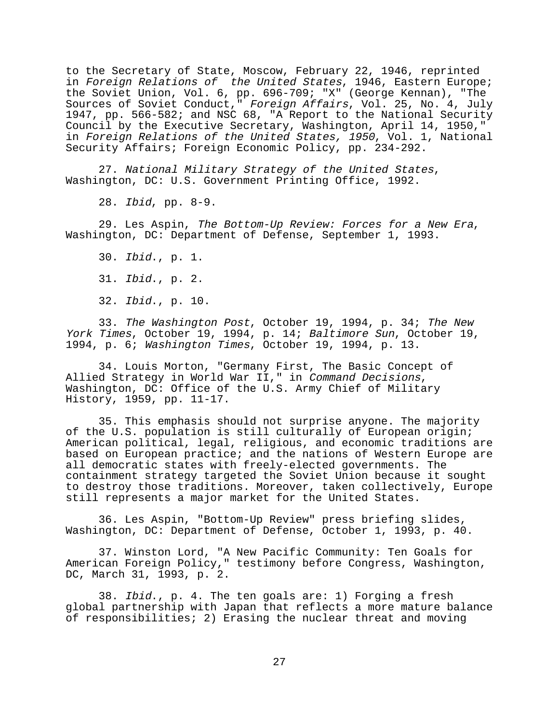to the Secretary of State, Moscow, February 22, 1946, reprinted in Foreign Relations of the United States, 1946, Eastern Europe; the Soviet Union, Vol. 6, pp. 696-709; "X" (George Kennan), "The Sources of Soviet Conduct," Foreign Affairs, Vol. 25, No. 4, July 1947, pp. 566-582; and NSC 68, "A Report to the National Security Council by the Executive Secretary, Washington, April 14, 1950," in Foreign Relations of the United States, 1950, Vol. 1, National Security Affairs; Foreign Economic Policy, pp. 234-292.

27. National Military Strategy of the United States, Washington, DC: U.S. Government Printing Office, 1992.

28. Ibid, pp. 8-9.

29. Les Aspin, The Bottom-Up Review: Forces for a New Era, Washington, DC: Department of Defense, September 1, 1993.

30. Ibid., p. 1. 31. Ibid., p. 2. 32. Ibid., p. 10.

33. The Washington Post, October 19, 1994, p. 34; The New York Times, October 19, 1994, p. 14; Baltimore Sun, October 19, 1994, p. 6; Washington Times, October 19, 1994, p. 13.

34. Louis Morton, "Germany First, The Basic Concept of Allied Strategy in World War II," in Command Decisions, Washington, DC: Office of the U.S. Army Chief of Military History, 1959, pp. 11-17.

35. This emphasis should not surprise anyone. The majority of the U.S. population is still culturally of European origin; American political, legal, religious, and economic traditions are based on European practice; and the nations of Western Europe are all democratic states with freely-elected governments. The containment strategy targeted the Soviet Union because it sought to destroy those traditions. Moreover, taken collectively, Europe still represents a major market for the United States.

36. Les Aspin, "Bottom-Up Review" press briefing slides, Washington, DC: Department of Defense, October 1, 1993, p. 40.

37. Winston Lord, "A New Pacific Community: Ten Goals for American Foreign Policy," testimony before Congress, Washington, DC, March 31, 1993, p. 2.

38. Ibid., p. 4. The ten goals are: 1) Forging a fresh global partnership with Japan that reflects a more mature balance of responsibilities; 2) Erasing the nuclear threat and moving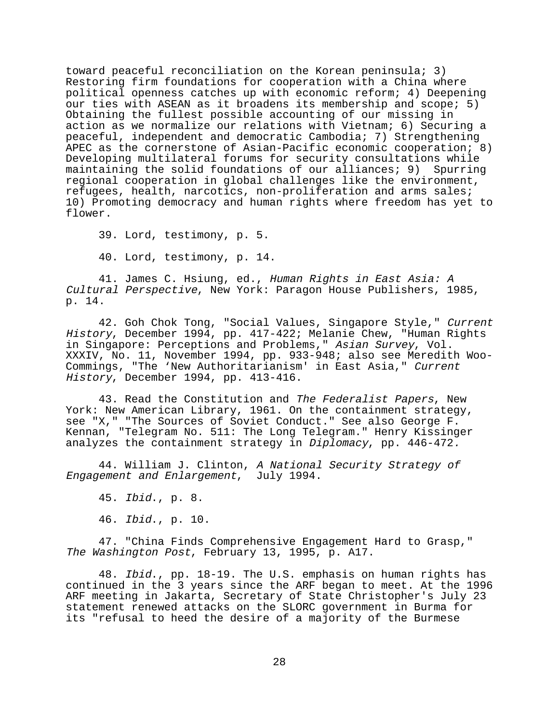toward peaceful reconciliation on the Korean peninsula; 3) Restoring firm foundations for cooperation with a China where political openness catches up with economic reform; 4) Deepening our ties with ASEAN as it broadens its membership and scope; 5) Obtaining the fullest possible accounting of our missing in action as we normalize our relations with Vietnam; 6) Securing a peaceful, independent and democratic Cambodia; 7) Strengthening APEC as the cornerstone of Asian-Pacific economic cooperation; 8) Developing multilateral forums for security consultations while maintaining the solid foundations of our alliances; 9) Spurring regional cooperation in global challenges like the environment, refugees, health, narcotics, non-proliferation and arms sales; 10) Promoting democracy and human rights where freedom has yet to flower.

39. Lord, testimony, p. 5.

40. Lord, testimony, p. 14.

41. James C. Hsiung, ed., Human Rights in East Asia: A Cultural Perspective, New York: Paragon House Publishers, 1985, p. 14.

42. Goh Chok Tong, "Social Values, Singapore Style," Current History, December 1994, pp. 417-422; Melanie Chew, "Human Rights in Singapore: Perceptions and Problems," Asian Survey, Vol. XXXIV, No. 11, November 1994, pp. 933-948; also see Meredith Woo-Commings, "The 'New Authoritarianism' in East Asia," Current History, December 1994, pp. 413-416.

43. Read the Constitution and The Federalist Papers, New York: New American Library, 1961. On the containment strategy, see "X," "The Sources of Soviet Conduct." See also George F. Kennan, "Telegram No. 511: The Long Telegram." Henry Kissinger analyzes the containment strategy in Diplomacy, pp. 446-472.

44. William J. Clinton, A National Security Strategy of Engagement and Enlargement, July 1994.

45. Ibid., p. 8.

46. Ibid., p. 10.

47. "China Finds Comprehensive Engagement Hard to Grasp," The Washington Post, February 13, 1995, p. A17.

48. Ibid., pp. 18-19. The U.S. emphasis on human rights has continued in the 3 years since the ARF began to meet. At the 1996 ARF meeting in Jakarta, Secretary of State Christopher's July 23 statement renewed attacks on the SLORC government in Burma for its "refusal to heed the desire of a majority of the Burmese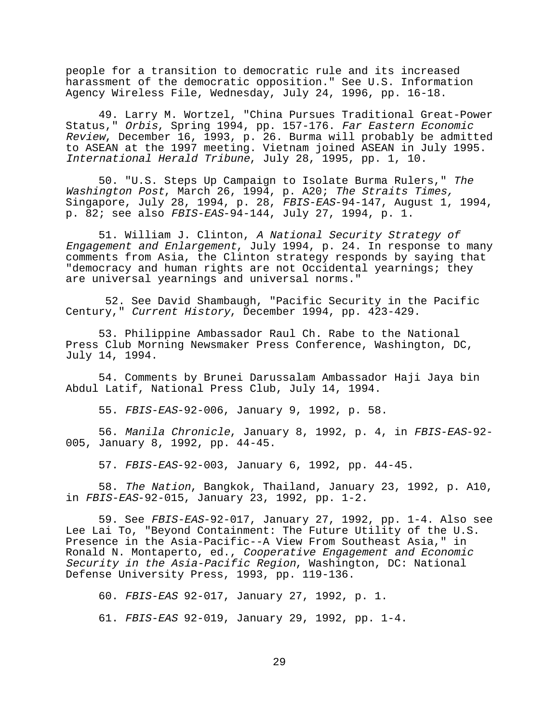people for a transition to democratic rule and its increased harassment of the democratic opposition." See U.S. Information Agency Wireless File, Wednesday, July 24, 1996, pp. 16-18.

49. Larry M. Wortzel, "China Pursues Traditional Great-Power Status," Orbis, Spring 1994, pp. 157-176. Far Eastern Economic Review, December 16, 1993, p. 26. Burma will probably be admitted to ASEAN at the 1997 meeting. Vietnam joined ASEAN in July 1995. International Herald Tribune, July 28, 1995, pp. 1, 10.

50. "U.S. Steps Up Campaign to Isolate Burma Rulers," The Washington Post, March 26, 1994, p. A20; The Straits Times, Singapore, July 28, 1994, p. 28, FBIS-EAS-94-147, August 1, 1994, p. 82; see also FBIS-EAS-94-144, July 27, 1994, p. 1.

51. William J. Clinton, A National Security Strategy of Engagement and Enlargement, July 1994, p. 24. In response to many comments from Asia, the Clinton strategy responds by saying that "democracy and human rights are not Occidental yearnings; they are universal yearnings and universal norms."

 52. See David Shambaugh, "Pacific Security in the Pacific Century," Current History, December 1994, pp. 423-429.

53. Philippine Ambassador Raul Ch. Rabe to the National Press Club Morning Newsmaker Press Conference, Washington, DC, July 14, 1994.

54. Comments by Brunei Darussalam Ambassador Haji Jaya bin Abdul Latif, National Press Club, July 14, 1994.

55. FBIS-EAS-92-006, January 9, 1992, p. 58.

56. Manila Chronicle, January 8, 1992, p. 4, in FBIS-EAS-92- 005, January 8, 1992, pp. 44-45.

57. FBIS-EAS-92-003, January 6, 1992, pp. 44-45.

58. The Nation, Bangkok, Thailand, January 23, 1992, p. A10, in FBIS-EAS-92-015, January 23, 1992, pp. 1-2.

59. See FBIS-EAS-92-017, January 27, 1992, pp. 1-4. Also see Lee Lai To, "Beyond Containment: The Future Utility of the U.S. Presence in the Asia-Pacific--A View From Southeast Asia," in Ronald N. Montaperto, ed., *Cooperative Engagement and Economic* Security in the Asia-Pacific Region, Washington, DC: National Defense University Press, 1993, pp. 119-136.

60. FBIS-EAS 92-017, January 27, 1992, p. 1.

61. FBIS-EAS 92-019, January 29, 1992, pp. 1-4.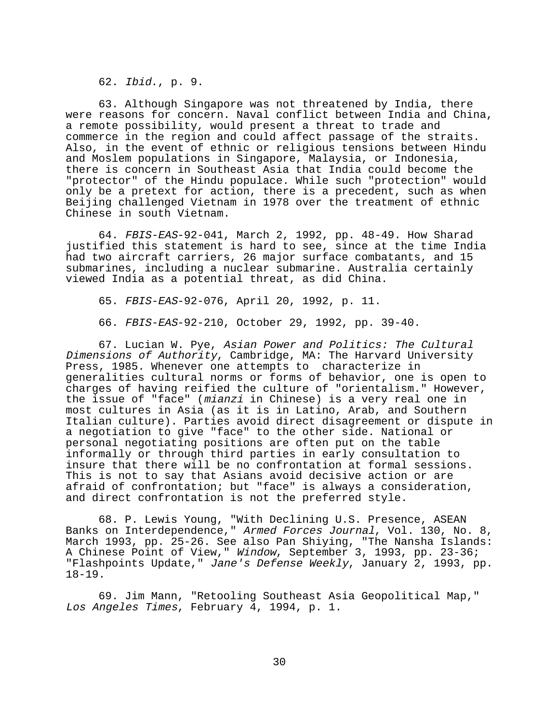62. Ibid., p. 9.

63. Although Singapore was not threatened by India, there were reasons for concern. Naval conflict between India and China, a remote possibility, would present a threat to trade and commerce in the region and could affect passage of the straits. Also, in the event of ethnic or religious tensions between Hindu and Moslem populations in Singapore, Malaysia, or Indonesia, there is concern in Southeast Asia that India could become the "protector" of the Hindu populace. While such "protection" would only be a pretext for action, there is a precedent, such as when Beijing challenged Vietnam in 1978 over the treatment of ethnic Chinese in south Vietnam.

64. FBIS-EAS-92-041, March 2, 1992, pp. 48-49. How Sharad justified this statement is hard to see, since at the time India had two aircraft carriers, 26 major surface combatants, and 15 submarines, including a nuclear submarine. Australia certainly viewed India as a potential threat, as did China.

65. FBIS-EAS-92-076, April 20, 1992, p. 11.

66. FBIS-EAS-92-210, October 29, 1992, pp. 39-40.

67. Lucian W. Pye, Asian Power and Politics: The Cultural Dimensions of Authority, Cambridge, MA: The Harvard University Press, 1985. Whenever one attempts to characterize in generalities cultural norms or forms of behavior, one is open to charges of having reified the culture of "orientalism." However, the issue of "face" (mianzi in Chinese) is a very real one in most cultures in Asia (as it is in Latino, Arab, and Southern Italian culture). Parties avoid direct disagreement or dispute in a negotiation to give "face" to the other side. National or personal negotiating positions are often put on the table informally or through third parties in early consultation to insure that there will be no confrontation at formal sessions. This is not to say that Asians avoid decisive action or are afraid of confrontation; but "face" is always a consideration, and direct confrontation is not the preferred style.

68. P. Lewis Young, "With Declining U.S. Presence, ASEAN Banks on Interdependence," Armed Forces Journal, Vol. 130, No. 8, March 1993, pp. 25-26. See also Pan Shiying, "The Nansha Islands: A Chinese Point of View," Window, September 3, 1993, pp. 23-36; "Flashpoints Update," Jane's Defense Weekly, January 2, 1993, pp. 18-19.

69. Jim Mann, "Retooling Southeast Asia Geopolitical Map," Los Angeles Times, February 4, 1994, p. 1.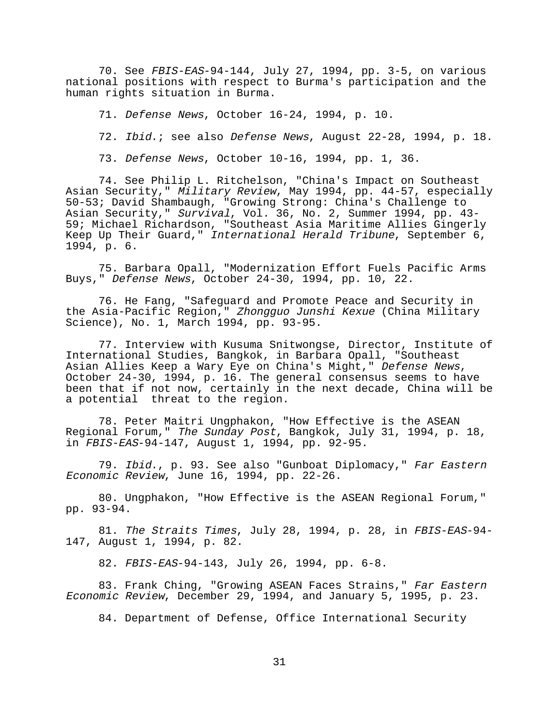70. See FBIS-EAS-94-144, July 27, 1994, pp. 3-5, on various national positions with respect to Burma's participation and the human rights situation in Burma.

71. Defense News, October 16-24, 1994, p. 10.

72. Ibid.; see also Defense News, August 22-28, 1994, p. 18.

73. Defense News, October 10-16, 1994, pp. 1, 36.

74. See Philip L. Ritchelson, "China's Impact on Southeast Asian Security," Military Review, May 1994, pp. 44-57, especially 50-53; David Shambaugh, "Growing Strong: China's Challenge to Asian Security," Survival, Vol. 36, No. 2, Summer 1994, pp. 43-59; Michael Richardson, "Southeast Asia Maritime Allies Gingerly Keep Up Their Guard," International Herald Tribune, September 6, 1994, p. 6.

75. Barbara Opall, "Modernization Effort Fuels Pacific Arms Buys," Defense News, October 24-30, 1994, pp. 10, 22.

76. He Fang, "Safeguard and Promote Peace and Security in the Asia-Pacific Region," Zhongguo Junshi Kexue (China Military Science), No. 1, March 1994, pp. 93-95.

77. Interview with Kusuma Snitwongse, Director, Institute of International Studies, Bangkok, in Barbara Opall, "Southeast Asian Allies Keep a Wary Eye on China's Might," Defense News, October 24-30, 1994, p. 16. The general consensus seems to have been that if not now, certainly in the next decade, China will be a potential threat to the region.

78. Peter Maitri Ungphakon, "How Effective is the ASEAN Regional Forum," The Sunday Post, Bangkok, July 31, 1994, p. 18, in FBIS-EAS-94-147, August 1, 1994, pp. 92-95.

79. Ibid., p. 93. See also "Gunboat Diplomacy," Far Eastern Economic Review, June 16, 1994, pp. 22-26.

80. Ungphakon, "How Effective is the ASEAN Regional Forum," pp. 93-94.

81. The Straits Times, July 28, 1994, p. 28, in FBIS-EAS-94- 147, August 1, 1994, p. 82.

82. FBIS-EAS-94-143, July 26, 1994, pp. 6-8.

83. Frank Ching, "Growing ASEAN Faces Strains," Far Eastern Economic Review, December 29, 1994, and January 5, 1995, p. 23.

84. Department of Defense, Office International Security

31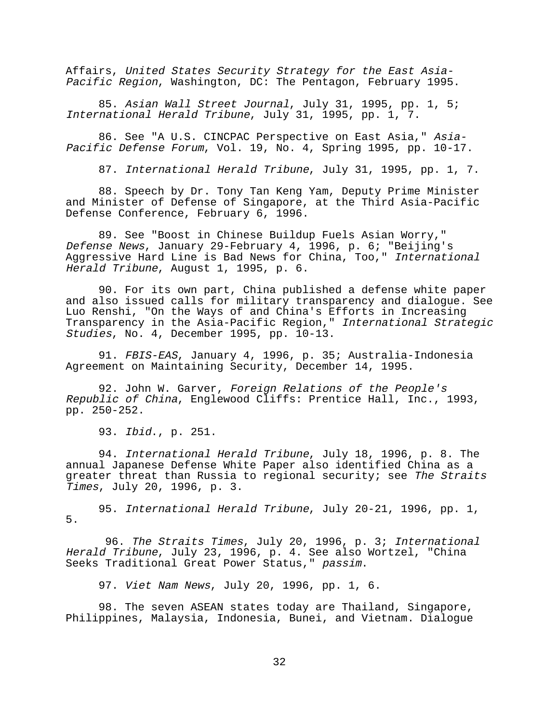Affairs, United States Security Strategy for the East Asia-Pacific Region, Washington, DC: The Pentagon, February 1995.

85. Asian Wall Street Journal, July 31, 1995, pp. 1, 5; International Herald Tribune, July 31, 1995, pp. 1, 7.

86. See "A U.S. CINCPAC Perspective on East Asia," Asia-Pacific Defense Forum, Vol. 19, No. 4, Spring 1995, pp. 10-17.

87. International Herald Tribune, July 31, 1995, pp. 1, 7.

88. Speech by Dr. Tony Tan Keng Yam, Deputy Prime Minister and Minister of Defense of Singapore, at the Third Asia-Pacific Defense Conference, February 6, 1996.

89. See "Boost in Chinese Buildup Fuels Asian Worry," Defense News, January 29-February 4, 1996, p. 6; "Beijing's Aggressive Hard Line is Bad News for China, Too," International Herald Tribune, August 1, 1995, p. 6.

90. For its own part, China published a defense white paper and also issued calls for military transparency and dialogue. See Luo Renshi, "On the Ways of and China's Efforts in Increasing Transparency in the Asia-Pacific Region," International Strategic Studies, No. 4, December 1995, pp. 10-13.

91. FBIS-EAS, January 4, 1996, p. 35; Australia-Indonesia Agreement on Maintaining Security, December 14, 1995.

92. John W. Garver, Foreign Relations of the People's Republic of China, Englewood Cliffs: Prentice Hall, Inc., 1993, pp. 250-252.

93. Ibid., p. 251.

94. International Herald Tribune, July 18, 1996, p. 8. The annual Japanese Defense White Paper also identified China as a greater threat than Russia to regional security; see The Straits Times, July 20, 1996, p. 3.

95. International Herald Tribune, July 20-21, 1996, pp. 1, 5.

 96. The Straits Times, July 20, 1996, p. 3; International Herald Tribune, July 23, 1996, p. 4. See also Wortzel, "China Seeks Traditional Great Power Status," passim.

97. Viet Nam News, July 20, 1996, pp. 1, 6.

98. The seven ASEAN states today are Thailand, Singapore, Philippines, Malaysia, Indonesia, Bunei, and Vietnam. Dialogue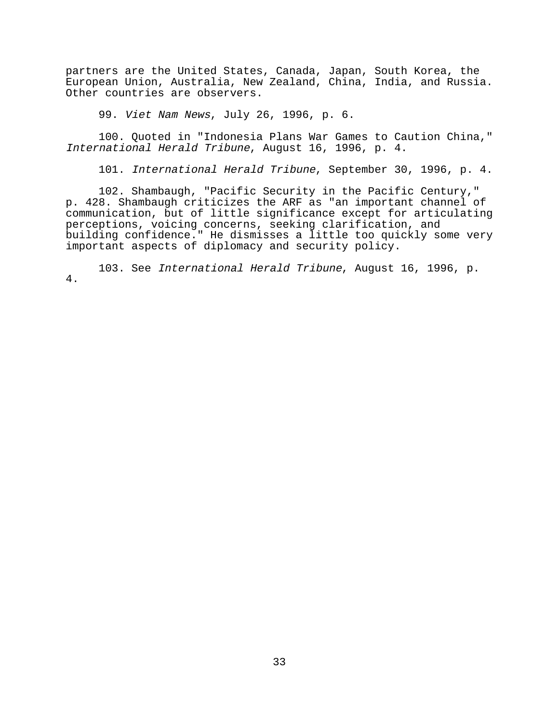partners are the United States, Canada, Japan, South Korea, the European Union, Australia, New Zealand, China, India, and Russia. Other countries are observers.

99. Viet Nam News, July 26, 1996, p. 6.

100. Quoted in "Indonesia Plans War Games to Caution China," International Herald Tribune, August 16, 1996, p. 4.

101. International Herald Tribune, September 30, 1996, p. 4.

102. Shambaugh, "Pacific Security in the Pacific Century," p. 428. Shambaugh criticizes the ARF as "an important channel of communication, but of little significance except for articulating perceptions, voicing concerns, seeking clarification, and building confidence." He dismisses a little too quickly some very important aspects of diplomacy and security policy.

103. See International Herald Tribune, August 16, 1996, p. 4.